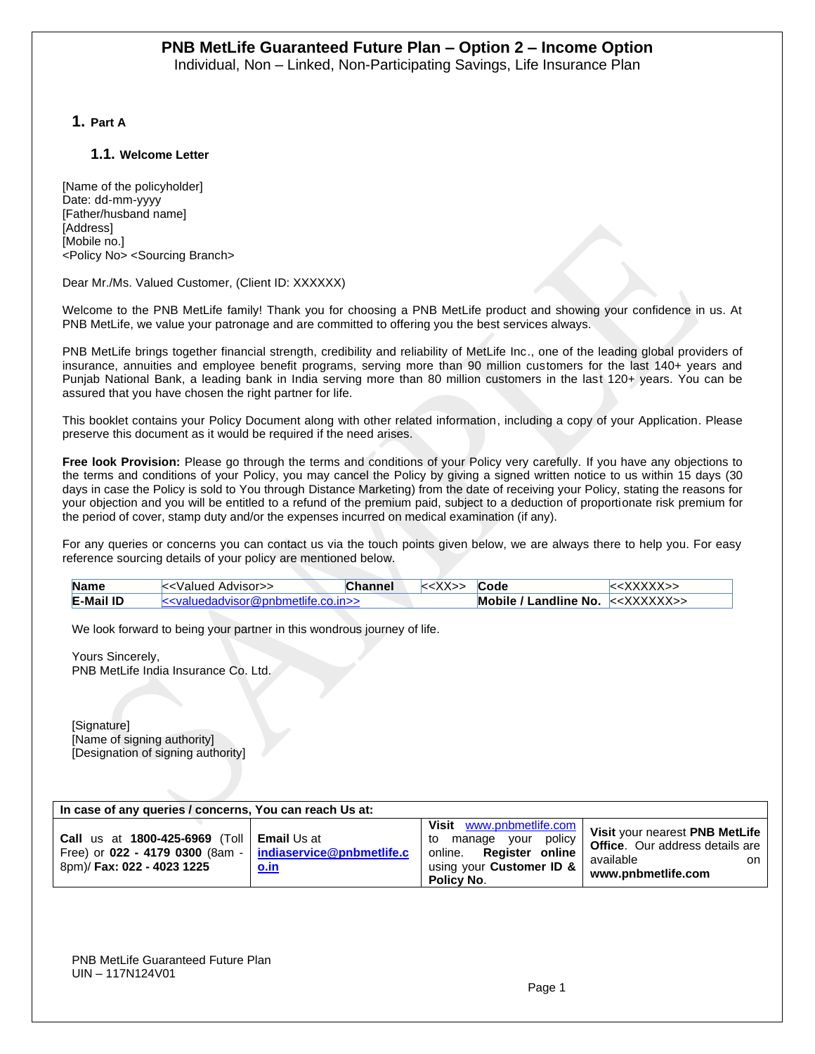**1. Part A**

#### **1.1. Welcome Letter**

[Name of the policyholder] Date: dd-mm-yyyy [Father/husband name] [Address] [Mobile no.] <Policy No> <Sourcing Branch>

#### Dear Mr./Ms. Valued Customer, (Client ID: XXXXXX)

Welcome to the PNB MetLife family! Thank you for choosing a PNB MetLife product and showing your confidence in us. At PNB MetLife, we value your patronage and are committed to offering you the best services always.

PNB MetLife brings together financial strength, credibility and reliability of MetLife Inc., one of the leading global providers of insurance, annuities and employee benefit programs, serving more than 90 million customers for the last 140+ years and Punjab National Bank, a leading bank in India serving more than 80 million customers in the last 120+ years. You can be assured that you have chosen the right partner for life.

This booklet contains your Policy Document along with other related information, including a copy of your Application. Please preserve this document as it would be required if the need arises.

**Free look Provision:** Please go through the terms and conditions of your Policy very carefully. If you have any objections to the terms and conditions of your Policy, you may cancel the Policy by giving a signed written notice to us within 15 days (30 days in case the Policy is sold to You through Distance Marketing) from the date of receiving your Policy, stating the reasons for your objection and you will be entitled to a refund of the premium paid, subject to a deduction of proportionate risk premium for the period of cover, stamp duty and/or the expenses incurred on medical examination (if any).

For any queries or concerns you can contact us via the touch points given below, we are always there to help you. For easy reference sourcing details of your policy are mentioned below.

| <b>Name</b>      | k - Kalued Advisor                     | Channel | $\sqrt{ }$ | Code                                   | .XXXXX>> |
|------------------|----------------------------------------|---------|------------|----------------------------------------|----------|
| <b>E-Mail ID</b> | $\le$ valuedadvisor@pnbmetlife.co.in>> |         |            | Mobile / Landline No. $\lt$ < XXXXXX>> |          |

We look forward to being your partner in this wondrous journey of life.

Yours Sincerely, PNB MetLife India Insurance Co. Ltd.

[Signature] [Name of signing authority] [Designation of signing authority]

| In case of any queries / concerns, You can reach Us at:                                                                                      |             |                                                                                                                              |                                                                                                                     |
|----------------------------------------------------------------------------------------------------------------------------------------------|-------------|------------------------------------------------------------------------------------------------------------------------------|---------------------------------------------------------------------------------------------------------------------|
| <b>Call us at 1800-425-6969 (Toll   Email Us at</b><br>Free) or $022 - 4179 0300$ (8am - $midize@ppbmetlife.c$<br>8pm)/ Fax: 022 - 4023 1225 | <u>o.in</u> | Visit www.pnbmetlife.com<br>vour policy<br>manage<br>to<br>online. Register online<br>using your Customer ID &<br>Policy No. | Visit your nearest PNB MetLife<br><b>Office.</b> Our address details are<br>available<br>on l<br>www.pnbmetlife.com |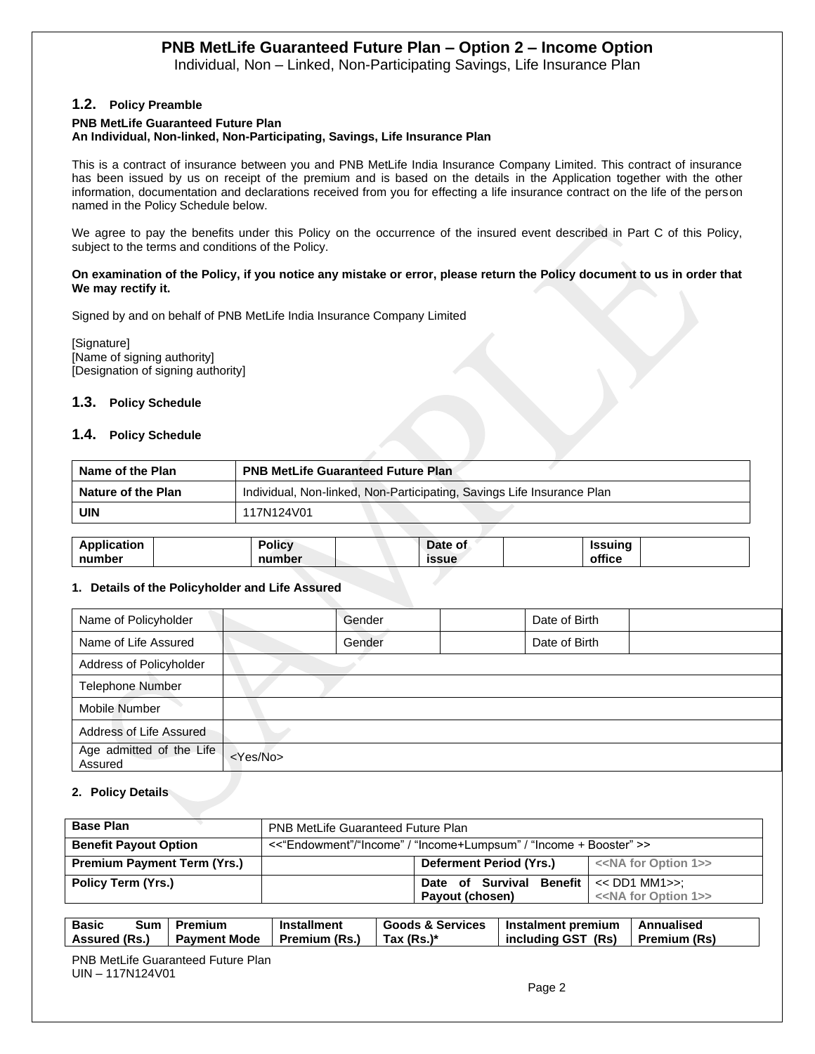Individual, Non – Linked, Non-Participating Savings, Life Insurance Plan

#### **1.2. Policy Preamble**

#### **PNB MetLife Guaranteed Future Plan An Individual, Non-linked, Non-Participating, Savings, Life Insurance Plan**

This is a contract of insurance between you and PNB MetLife India Insurance Company Limited. This contract of insurance has been issued by us on receipt of the premium and is based on the details in the Application together with the other information, documentation and declarations received from you for effecting a life insurance contract on the life of the person named in the Policy Schedule below.

We agree to pay the benefits under this Policy on the occurrence of the insured event described in Part C of this Policy, subject to the terms and conditions of the Policy.

#### **On examination of the Policy, if you notice any mistake or error, please return the Policy document to us in order that We may rectify it.**

Signed by and on behalf of PNB MetLife India Insurance Company Limited

[Signature] [Name of signing authority] [Designation of signing authority]

#### **1.3. Policy Schedule**

#### **1.4. Policy Schedule**

| <b>PNB MetLife Guaranteed Future Plan</b>                              |
|------------------------------------------------------------------------|
| Individual, Non-linked, Non-Participating, Savings Life Insurance Plan |
| 117N124V01                                                             |
|                                                                        |

| Application | <b>Policy</b> | Date of      | Issuing |  |
|-------------|---------------|--------------|---------|--|
| number      | number        | <b>issue</b> | office  |  |

#### **1. Details of the Policyholder and Life Assured**

| Name of Policyholder                | Gender            | Date of Birth |  |
|-------------------------------------|-------------------|---------------|--|
| Name of Life Assured                | Gender            | Date of Birth |  |
| Address of Policyholder             |                   |               |  |
| <b>Telephone Number</b>             |                   |               |  |
| Mobile Number                       |                   |               |  |
| Address of Life Assured             |                   |               |  |
| Age admitted of the Life<br>Assured | <yes no=""></yes> |               |  |

#### **2. Policy Details**

| <b>Base Plan</b>                   | <b>PNB MetLife Guaranteed Future Plan</b>                         |                                                 |                                       |  |
|------------------------------------|-------------------------------------------------------------------|-------------------------------------------------|---------------------------------------|--|
| <b>Benefit Payout Option</b>       | <<"Endowment"/"Income" / "Income+Lumpsum" / "Income + Booster" >> |                                                 |                                       |  |
| <b>Premium Payment Term (Yrs.)</b> |                                                                   | Deferment Period (Yrs.)                         | < <na 1="" for="" option="">&gt;</na> |  |
| <b>Policy Term (Yrs.)</b>          |                                                                   | Date of Survival Benefit $\vert \ll$ DD1 MM1>>: |                                       |  |
|                                    |                                                                   | Payout (chosen)                                 | < <na 1="" for="" option="">&gt;</na> |  |

| <b>Basic</b><br>Sum I | Premium             | <b>Installment</b> | <b>Goods &amp; Services</b> | Instalment premium | Annualised          |
|-----------------------|---------------------|--------------------|-----------------------------|--------------------|---------------------|
| Assured (Rs.)         | <b>Pavment Mode</b> | Premium (Rs.)      | Tax (Rs.)*                  | including GST (Rs) | <b>Premium (Rs)</b> |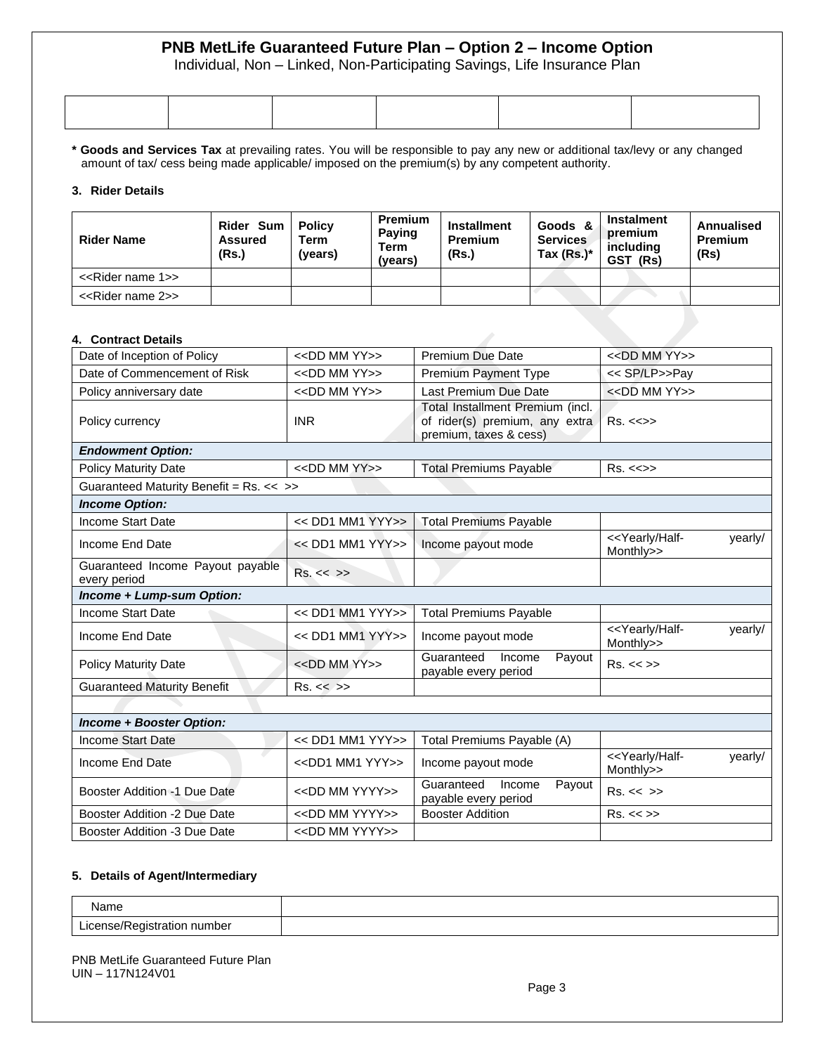Individual, Non – Linked, Non-Participating Savings, Life Insurance Plan

|  | _______ |  |
|--|---------|--|
|  |         |  |
|  |         |  |
|  |         |  |
|  |         |  |

**\* Goods and Services Tax** at prevailing rates. You will be responsible to pay any new or additional tax/levy or any changed amount of tax/ cess being made applicable/ imposed on the premium(s) by any competent authority.

#### **3. Rider Details**

| <b>Rider Name</b>                  | Rider Sum  <br><b>Assured</b><br>(Rs.) | <b>Policy</b><br>Term<br>(years) | <b>Premium</b><br><b>Paying</b><br><b>Term</b><br>(vears) | <b>Installment</b><br><b>Premium</b><br>(Rs.) | Goods &<br><b>Services</b><br>Tax $(Rs.)^*$ | <b>Instalment</b><br>premium<br>includina<br>GST (Rs) | Annualised<br><b>Premium</b><br>(Rs) |
|------------------------------------|----------------------------------------|----------------------------------|-----------------------------------------------------------|-----------------------------------------------|---------------------------------------------|-------------------------------------------------------|--------------------------------------|
| < <rider 1="" name="">&gt;</rider> |                                        |                                  |                                                           |                                               |                                             |                                                       |                                      |
| < <rider 2="" name="">&gt;</rider> |                                        |                                  |                                                           |                                               |                                             |                                                       |                                      |

#### **4. Contract Details**

| <b>UUIIII au Delaiis</b>                         |                                 |                                                                                              |                                                            |
|--------------------------------------------------|---------------------------------|----------------------------------------------------------------------------------------------|------------------------------------------------------------|
| Date of Inception of Policy                      | $<<$ DD MM YY $>>$              | <b>Premium Due Date</b>                                                                      | $<<$ DD MM YY $>>$                                         |
| Date of Commencement of Risk                     | < <dd mm="" yy="">&gt;</dd>     | <b>Premium Payment Type</b>                                                                  | << SP/LP>>Pay                                              |
| Policy anniversary date                          | $<<$ DD MM YY $>>$              | Last Premium Due Date                                                                        | < <dd mm="" yy="">&gt;</dd>                                |
| Policy currency                                  | <b>INR</b>                      | Total Installment Premium (incl.<br>of rider(s) premium, any extra<br>premium, taxes & cess) | $Rs. < \Leftrightarrow$                                    |
| <b>Endowment Option:</b>                         |                                 |                                                                                              |                                                            |
| <b>Policy Maturity Date</b>                      | < <dd mm="" yy="">&gt;</dd>     | <b>Total Premiums Payable</b>                                                                | $Rs. < \Leftrightarrow$                                    |
| Guaranteed Maturity Benefit = Rs. << >>          |                                 |                                                                                              |                                                            |
| <b>Income Option:</b>                            |                                 |                                                                                              |                                                            |
| Income Start Date                                | $<<$ DD1 MM1 YYY>>              | <b>Total Premiums Payable</b>                                                                |                                                            |
| Income End Date                                  | $<<$ DD1 MM1 YYY>>              | Income payout mode                                                                           | < <yearly half-<br="">yearly/<br/>Monthly&gt;&gt;</yearly> |
| Guaranteed Income Payout payable<br>every period | Rs. < < >>                      |                                                                                              |                                                            |
| Income + Lump-sum Option:                        |                                 |                                                                                              |                                                            |
| Income Start Date                                | << DD1 MM1 YYY>>                | <b>Total Premiums Payable</b>                                                                |                                                            |
| Income End Date                                  | $<<$ DD1 MM1 YYY>>              | Income payout mode                                                                           | < <yearly half-<br="">yearly/<br/>Monthly&gt;&gt;</yearly> |
| <b>Policy Maturity Date</b>                      | $<<$ DD MM YY $>>$              | Guaranteed<br>Income<br>Payout<br>payable every period                                       | Rs. < >>                                                   |
| <b>Guaranteed Maturity Benefit</b>               | Rs. < >>                        |                                                                                              |                                                            |
|                                                  |                                 |                                                                                              |                                                            |
| <b>Income + Booster Option:</b>                  |                                 |                                                                                              |                                                            |
| <b>Income Start Date</b>                         | << DD1 MM1 YYY>>                | Total Premiums Payable (A)                                                                   |                                                            |
| Income End Date                                  | < <dd1 mm1="" yyy="">&gt;</dd1> | Income payout mode                                                                           | < <yearly half-<br="">yearly/<br/>Monthly&gt;&gt;</yearly> |
| Booster Addition -1 Due Date                     | < <dd mm="" yyyy="">&gt;</dd>   | Guaranteed<br>Income<br>Payout<br>payable every period                                       | Rs. < < >>                                                 |
| Booster Addition -2 Due Date                     | < <dd mm="" yyyy="">&gt;</dd>   | <b>Booster Addition</b>                                                                      | Rs. < >>                                                   |
|                                                  |                                 |                                                                                              |                                                            |

#### **5. Details of Agent/Intermediary**

Booster Addition -3 Due Date | <<DD MM YYYY>>

| Name                                  |  |
|---------------------------------------|--|
| number<br>.<br>тэн<br><b>ISCITESI</b> |  |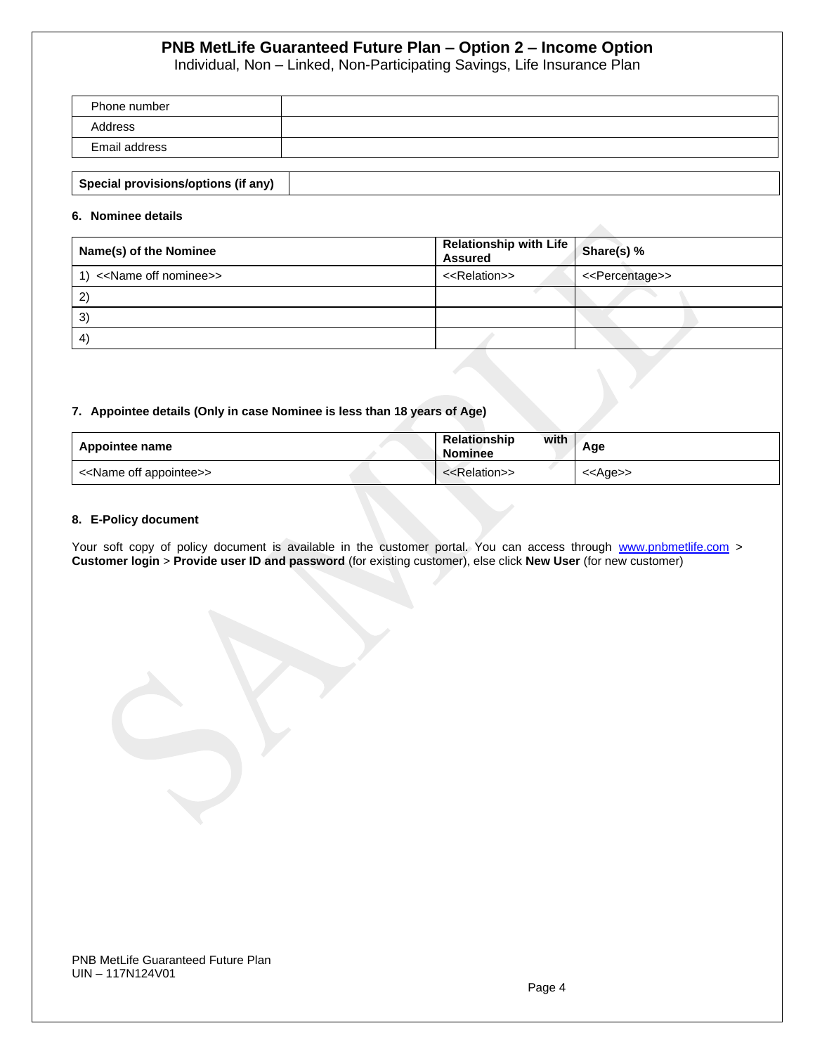Individual, Non – Linked, Non-Participating Savings, Life Insurance Plan

| Phone number  |  |
|---------------|--|
| Address       |  |
| Email address |  |
|               |  |

|--|

#### **6. Nominee details**

| Name(s) of the Nominee                   | <b>Relationship with Life</b> Share(s) %<br><b>Assured</b> |                                 |
|------------------------------------------|------------------------------------------------------------|---------------------------------|
| 1) < <name nominee="" off="">&gt;</name> | < <relation>&gt;</relation>                                | < <percentage>&gt;</percentage> |
| 2                                        |                                                            |                                 |
| 3)                                       |                                                            |                                 |
| 4                                        |                                                            |                                 |

#### **7. Appointee details (Only in case Nominee is less than 18 years of Age)**

| Appointee name                          | with<br>Relationship<br><b>Nominee</b> | Age               |
|-----------------------------------------|----------------------------------------|-------------------|
| < <name appointee="" off="">&gt;</name> | < <relation>&gt;</relation>            | < <age>&gt;</age> |

#### **8. E-Policy document**

Your soft copy of policy document is available in the customer portal. You can access through [www.pnbmetlife.com](http://www.pnbmetlife.com/) > **Customer login** > **Provide user ID and password** (for existing customer), else click **New User** (for new customer)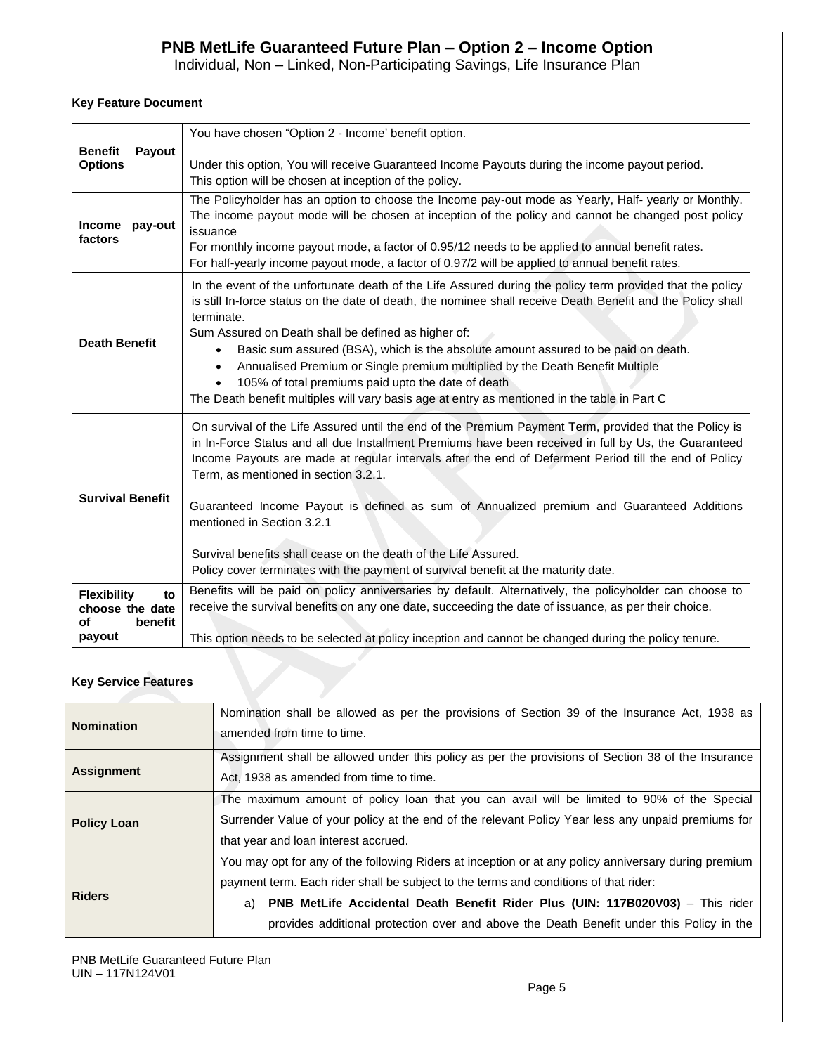Individual, Non – Linked, Non-Participating Savings, Life Insurance Plan

### **Key Feature Document**

|                                            | You have chosen "Option 2 - Income' benefit option.                                                                                           |
|--------------------------------------------|-----------------------------------------------------------------------------------------------------------------------------------------------|
| <b>Benefit</b><br>Payout<br><b>Options</b> | Under this option, You will receive Guaranteed Income Payouts during the income payout period.                                                |
|                                            | This option will be chosen at inception of the policy.                                                                                        |
|                                            | The Policyholder has an option to choose the Income pay-out mode as Yearly, Half- yearly or Monthly.                                          |
| <b>Income</b><br>pay-out                   | The income payout mode will be chosen at inception of the policy and cannot be changed post policy                                            |
| factors                                    | issuance<br>For monthly income payout mode, a factor of 0.95/12 needs to be applied to annual benefit rates.                                  |
|                                            | For half-yearly income payout mode, a factor of 0.97/2 will be applied to annual benefit rates.                                               |
|                                            | In the event of the unfortunate death of the Life Assured during the policy term provided that the policy                                     |
|                                            | is still In-force status on the date of death, the nominee shall receive Death Benefit and the Policy shall                                   |
|                                            | terminate.                                                                                                                                    |
| <b>Death Benefit</b>                       | Sum Assured on Death shall be defined as higher of:<br>Basic sum assured (BSA), which is the absolute amount assured to be paid on death.     |
|                                            | $\bullet$<br>Annualised Premium or Single premium multiplied by the Death Benefit Multiple<br>$\bullet$                                       |
|                                            | 105% of total premiums paid upto the date of death                                                                                            |
|                                            | The Death benefit multiples will vary basis age at entry as mentioned in the table in Part C                                                  |
|                                            | On survival of the Life Assured until the end of the Premium Payment Term, provided that the Policy is                                        |
|                                            | in In-Force Status and all due Installment Premiums have been received in full by Us, the Guaranteed                                          |
|                                            | Income Payouts are made at regular intervals after the end of Deferment Period till the end of Policy<br>Term, as mentioned in section 3.2.1. |
|                                            |                                                                                                                                               |
| <b>Survival Benefit</b>                    | Guaranteed Income Payout is defined as sum of Annualized premium and Guaranteed Additions                                                     |
|                                            | mentioned in Section 3.2.1                                                                                                                    |
|                                            | Survival benefits shall cease on the death of the Life Assured.                                                                               |
|                                            | Policy cover terminates with the payment of survival benefit at the maturity date.                                                            |
| <b>Flexibility</b><br>to                   | Benefits will be paid on policy anniversaries by default. Alternatively, the policyholder can choose to                                       |
| choose the date                            | receive the survival benefits on any one date, succeeding the date of issuance, as per their choice.                                          |
| οf<br>benefit                              |                                                                                                                                               |
| payout                                     | This option needs to be selected at policy inception and cannot be changed during the policy tenure.                                          |

#### **Key Service Features**

| <b>Nomination</b>  | Nomination shall be allowed as per the provisions of Section 39 of the Insurance Act, 1938 as<br>amended from time to time.                                                                                                                                                                                                                                                             |
|--------------------|-----------------------------------------------------------------------------------------------------------------------------------------------------------------------------------------------------------------------------------------------------------------------------------------------------------------------------------------------------------------------------------------|
| <b>Assignment</b>  | Assignment shall be allowed under this policy as per the provisions of Section 38 of the Insurance<br>Act. 1938 as amended from time to time.                                                                                                                                                                                                                                           |
| <b>Policy Loan</b> | The maximum amount of policy loan that you can avail will be limited to 90% of the Special<br>Surrender Value of your policy at the end of the relevant Policy Year less any unpaid premiums for<br>that year and loan interest accrued.                                                                                                                                                |
| <b>Riders</b>      | You may opt for any of the following Riders at inception or at any policy anniversary during premium<br>payment term. Each rider shall be subject to the terms and conditions of that rider:<br><b>PNB MetLife Accidental Death Benefit Rider Plus (UIN: 117B020V03)</b> – This rider<br>a)<br>provides additional protection over and above the Death Benefit under this Policy in the |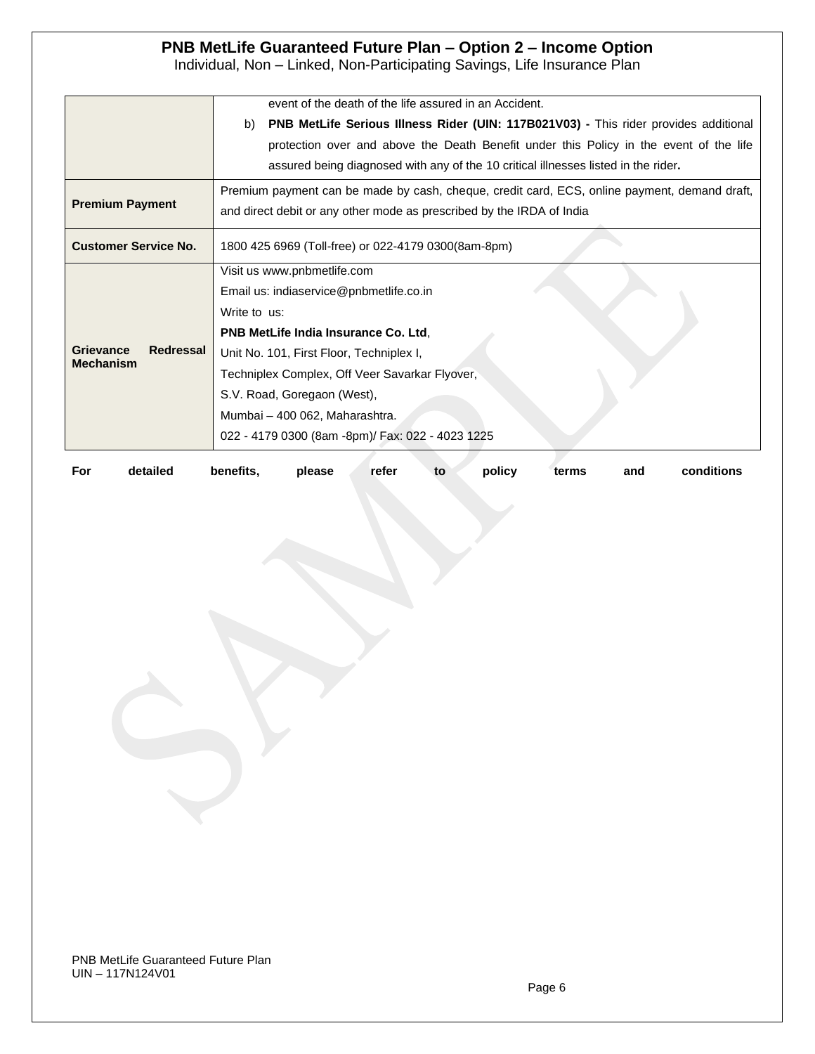Individual, Non – Linked, Non-Participating Savings, Life Insurance Plan

|                               | event of the death of the life assured in an Accident.                                       |  |  |  |  |
|-------------------------------|----------------------------------------------------------------------------------------------|--|--|--|--|
|                               | PNB MetLife Serious Illness Rider (UIN: 117B021V03) - This rider provides additional<br>b)   |  |  |  |  |
|                               | protection over and above the Death Benefit under this Policy in the event of the life       |  |  |  |  |
|                               | assured being diagnosed with any of the 10 critical illnesses listed in the rider.           |  |  |  |  |
|                               | Premium payment can be made by cash, cheque, credit card, ECS, online payment, demand draft, |  |  |  |  |
| <b>Premium Payment</b>        | and direct debit or any other mode as prescribed by the IRDA of India                        |  |  |  |  |
| <b>Customer Service No.</b>   | 1800 425 6969 (Toll-free) or 022-4179 0300(8am-8pm)                                          |  |  |  |  |
|                               | Visit us www.pnbmetlife.com                                                                  |  |  |  |  |
|                               | Email us: indiaservice@pnbmetlife.co.in                                                      |  |  |  |  |
|                               | Write to us:                                                                                 |  |  |  |  |
|                               | <b>PNB MetLife India Insurance Co. Ltd.</b>                                                  |  |  |  |  |
| <b>Grievance</b><br>Redressal | Unit No. 101, First Floor, Techniplex I,                                                     |  |  |  |  |
| <b>Mechanism</b>              | Techniplex Complex, Off Veer Savarkar Flyover,                                               |  |  |  |  |
|                               | S.V. Road, Goregaon (West),                                                                  |  |  |  |  |
|                               | Mumbai - 400 062, Maharashtra.                                                               |  |  |  |  |
|                               | 022 - 4179 0300 (8am -8pm)/ Fax: 022 - 4023 1225                                             |  |  |  |  |
|                               |                                                                                              |  |  |  |  |

| refer to | For | detailed | benefits. | please |  |  | policy | terms | and | conditions |
|----------|-----|----------|-----------|--------|--|--|--------|-------|-----|------------|
|----------|-----|----------|-----------|--------|--|--|--------|-------|-----|------------|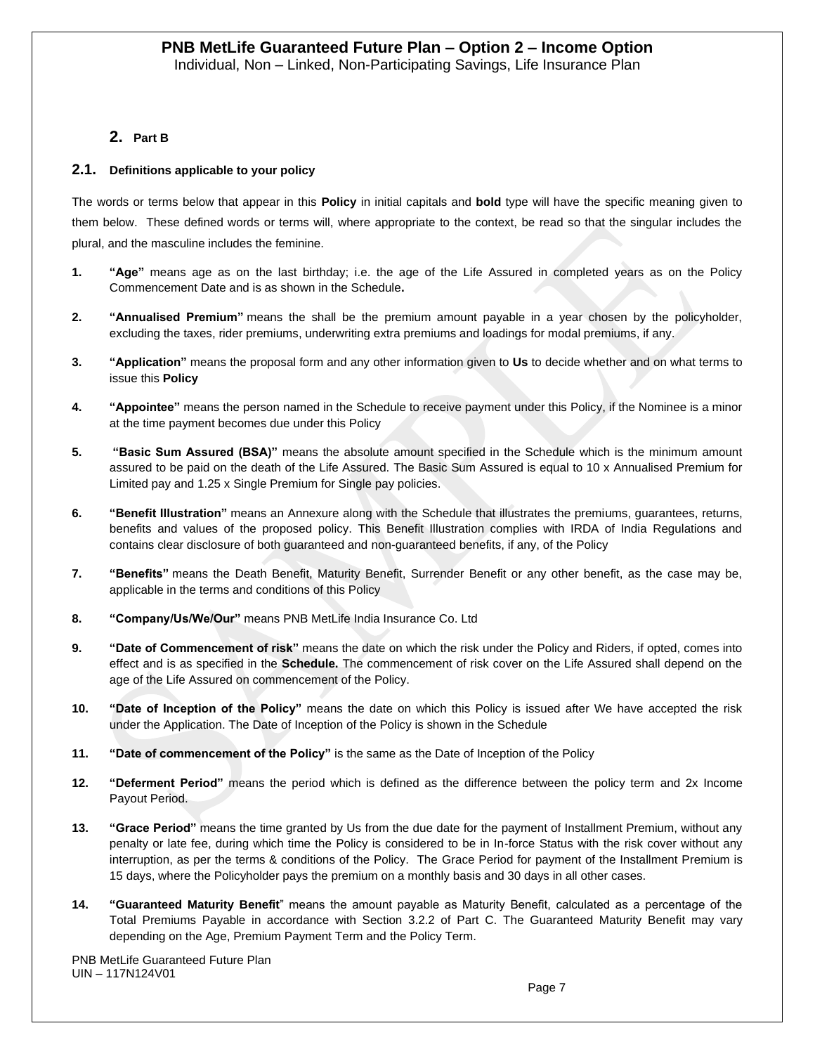### **2. Part B**

#### **2.1. Definitions applicable to your policy**

The words or terms below that appear in this **Policy** in initial capitals and **bold** type will have the specific meaning given to them below. These defined words or terms will, where appropriate to the context, be read so that the singular includes the plural, and the masculine includes the feminine.

- **1. "Age"** means age as on the last birthday; i.e. the age of the Life Assured in completed years as on the Policy Commencement Date and is as shown in the Schedule**.**
- **2. "Annualised Premium"** means the shall be the premium amount payable in a year chosen by the policyholder, excluding the taxes, rider premiums, underwriting extra premiums and loadings for modal premiums, if any.
- **3. "Application"** means the proposal form and any other information given to **Us** to decide whether and on what terms to issue this **Policy**
- **4. "Appointee"** means the person named in the Schedule to receive payment under this Policy, if the Nominee is a minor at the time payment becomes due under this Policy
- **5. "Basic Sum Assured (BSA)"** means the absolute amount specified in the Schedule which is the minimum amount assured to be paid on the death of the Life Assured. The Basic Sum Assured is equal to 10 x Annualised Premium for Limited pay and 1.25 x Single Premium for Single pay policies.
- **6. "Benefit Illustration"** means an Annexure along with the Schedule that illustrates the premiums, guarantees, returns, benefits and values of the proposed policy. This Benefit Illustration complies with IRDA of India Regulations and contains clear disclosure of both guaranteed and non-guaranteed benefits, if any, of the Policy
- **7. "Benefits"** means the Death Benefit, Maturity Benefit, Surrender Benefit or any other benefit, as the case may be, applicable in the terms and conditions of this Policy
- **8. "Company/Us/We/Our"** means PNB MetLife India Insurance Co. Ltd
- **9. "Date of Commencement of risk"** means the date on which the risk under the Policy and Riders, if opted, comes into effect and is as specified in the **Schedule.** The commencement of risk cover on the Life Assured shall depend on the age of the Life Assured on commencement of the Policy.
- **10. "Date of Inception of the Policy"** means the date on which this Policy is issued after We have accepted the risk under the Application. The Date of Inception of the Policy is shown in the Schedule
- **11. "Date of commencement of the Policy"** is the same as the Date of Inception of the Policy
- **12. "Deferment Period"** means the period which is defined as the difference between the policy term and 2x Income Payout Period.
- **13. "Grace Period"** means the time granted by Us from the due date for the payment of Installment Premium, without any penalty or late fee, during which time the Policy is considered to be in In-force Status with the risk cover without any interruption, as per the terms & conditions of the Policy. The Grace Period for payment of the Installment Premium is 15 days, where the Policyholder pays the premium on a monthly basis and 30 days in all other cases.
- **14. "Guaranteed Maturity Benefit**" means the amount payable as Maturity Benefit, calculated as a percentage of the Total Premiums Payable in accordance with Section 3.2.2 of Part C. The Guaranteed Maturity Benefit may vary depending on the Age, Premium Payment Term and the Policy Term.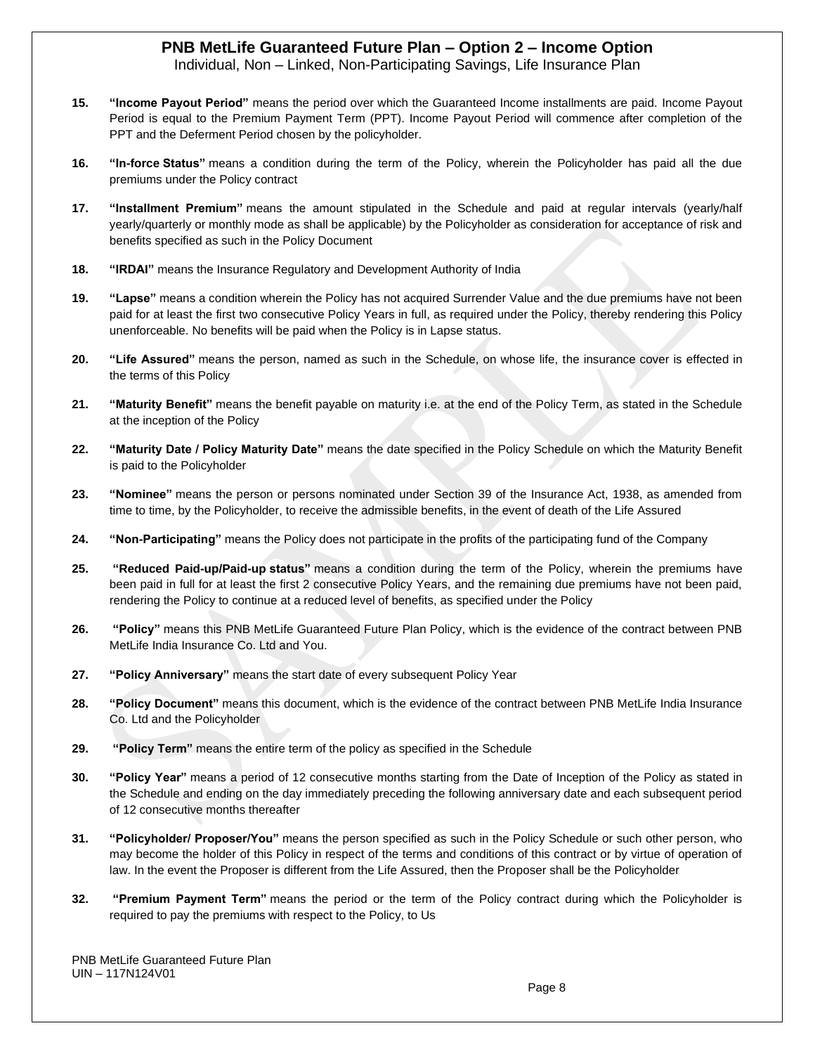Individual, Non – Linked, Non-Participating Savings, Life Insurance Plan

- **15. "Income Payout Period"** means the period over which the Guaranteed Income installments are paid. Income Payout Period is equal to the Premium Payment Term (PPT). Income Payout Period will commence after completion of the PPT and the Deferment Period chosen by the policyholder.
- **16. "In-force Status"** means a condition during the term of the Policy, wherein the Policyholder has paid all the due premiums under the Policy contract
- **17. "Installment Premium"** means the amount stipulated in the Schedule and paid at regular intervals (yearly/half yearly/quarterly or monthly mode as shall be applicable) by the Policyholder as consideration for acceptance of risk and benefits specified as such in the Policy Document
- **18. "IRDAI"** means the Insurance Regulatory and Development Authority of India
- **19. "Lapse"** means a condition wherein the Policy has not acquired Surrender Value and the due premiums have not been paid for at least the first two consecutive Policy Years in full, as required under the Policy, thereby rendering this Policy unenforceable. No benefits will be paid when the Policy is in Lapse status.
- **20. "Life Assured"** means the person, named as such in the Schedule, on whose life, the insurance cover is effected in the terms of this Policy
- **21. "Maturity Benefit"** means the benefit payable on maturity i.e. at the end of the Policy Term, as stated in the Schedule at the inception of the Policy
- **22. "Maturity Date / Policy Maturity Date"** means the date specified in the Policy Schedule on which the Maturity Benefit is paid to the Policyholder
- **23. "Nominee"** means the person or persons nominated under Section 39 of the Insurance Act, 1938, as amended from time to time, by the Policyholder, to receive the admissible benefits, in the event of death of the Life Assured
- **24. "Non-Participating"** means the Policy does not participate in the profits of the participating fund of the Company
- **25. "Reduced Paid-up/Paid-up status"** means a condition during the term of the Policy, wherein the premiums have been paid in full for at least the first 2 consecutive Policy Years, and the remaining due premiums have not been paid, rendering the Policy to continue at a reduced level of benefits, as specified under the Policy
- **26. "Policy"** means this PNB MetLife Guaranteed Future Plan Policy, which is the evidence of the contract between PNB MetLife India Insurance Co. Ltd and You.
- **27. "Policy Anniversary"** means the start date of every subsequent Policy Year
- **28. "Policy Document"** means this document, which is the evidence of the contract between PNB MetLife India Insurance Co. Ltd and the Policyholder
- **29. "Policy Term"** means the entire term of the policy as specified in the Schedule
- **30. "Policy Year"** means a period of 12 consecutive months starting from the Date of Inception of the Policy as stated in the Schedule and ending on the day immediately preceding the following anniversary date and each subsequent period of 12 consecutive months thereafter
- **31. "Policyholder/ Proposer/You"** means the person specified as such in the Policy Schedule or such other person, who may become the holder of this Policy in respect of the terms and conditions of this contract or by virtue of operation of law. In the event the Proposer is different from the Life Assured, then the Proposer shall be the Policyholder
- **32. "Premium Payment Term"** means the period or the term of the Policy contract during which the Policyholder is required to pay the premiums with respect to the Policy, to Us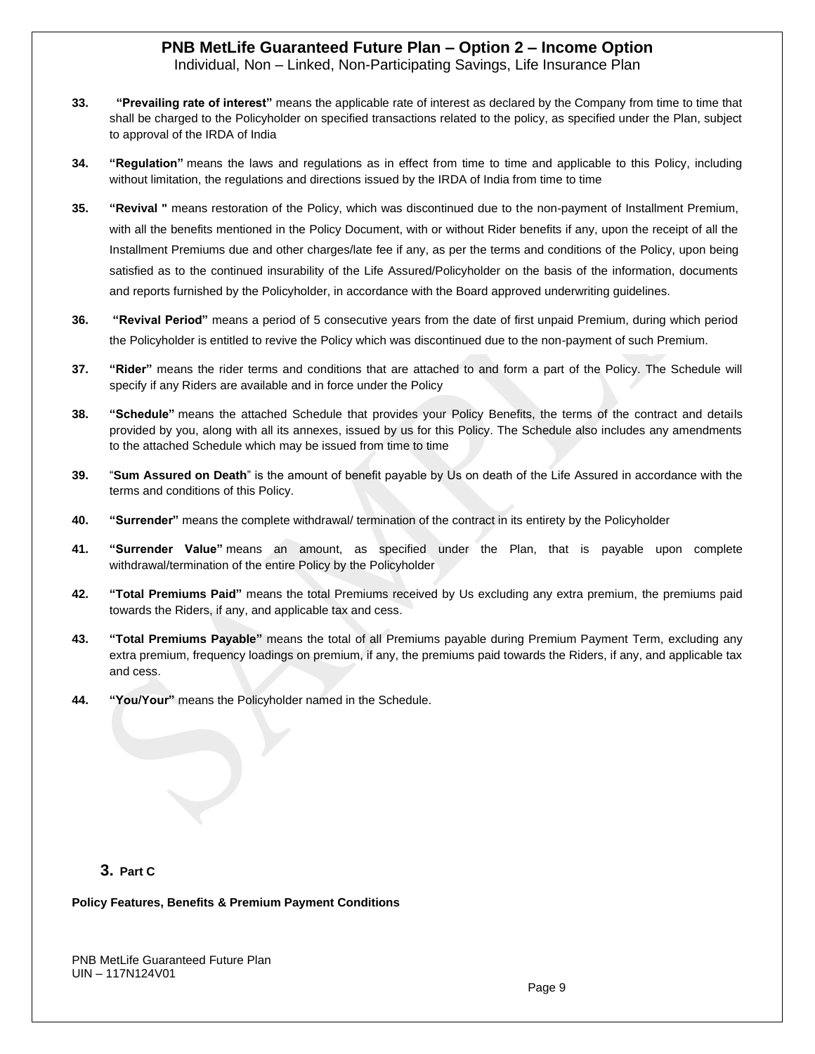Individual, Non – Linked, Non-Participating Savings, Life Insurance Plan

- **33. "Prevailing rate of interest"** means the applicable rate of interest as declared by the Company from time to time that shall be charged to the Policyholder on specified transactions related to the policy, as specified under the Plan, subject to approval of the IRDA of India
- **34. "Regulation"** means the laws and regulations as in effect from time to time and applicable to this Policy, including without limitation, the regulations and directions issued by the IRDA of India from time to time
- **35. "Revival "** means restoration of the Policy, which was discontinued due to the non-payment of Installment Premium, with all the benefits mentioned in the Policy Document, with or without Rider benefits if any, upon the receipt of all the Installment Premiums due and other charges/late fee if any, as per the terms and conditions of the Policy, upon being satisfied as to the continued insurability of the Life Assured/Policyholder on the basis of the information, documents and reports furnished by the Policyholder, in accordance with the Board approved underwriting guidelines.
- **36. "Revival Period"** means a period of 5 consecutive years from the date of first unpaid Premium, during which period the Policyholder is entitled to revive the Policy which was discontinued due to the non-payment of such Premium.
- **37. "Rider"** means the rider terms and conditions that are attached to and form a part of the Policy. The Schedule will specify if any Riders are available and in force under the Policy
- **38. "Schedule"** means the attached Schedule that provides your Policy Benefits, the terms of the contract and details provided by you, along with all its annexes, issued by us for this Policy. The Schedule also includes any amendments to the attached Schedule which may be issued from time to time
- **39.** "**Sum Assured on Death**" is the amount of benefit payable by Us on death of the Life Assured in accordance with the terms and conditions of this Policy.
- **40. "Surrender"** means the complete withdrawal/ termination of the contract in its entirety by the Policyholder
- **41. "Surrender Value"** means an amount, as specified under the Plan, that is payable upon complete withdrawal/termination of the entire Policy by the Policyholder
- **42. "Total Premiums Paid"** means the total Premiums received by Us excluding any extra premium, the premiums paid towards the Riders, if any, and applicable tax and cess.
- **43. "Total Premiums Payable"** means the total of all Premiums payable during Premium Payment Term, excluding any extra premium, frequency loadings on premium, if any, the premiums paid towards the Riders, if any, and applicable tax and cess.
- **44. "You/Your"** means the Policyholder named in the Schedule.

### **3. Part C**

#### **Policy Features, Benefits & Premium Payment Conditions**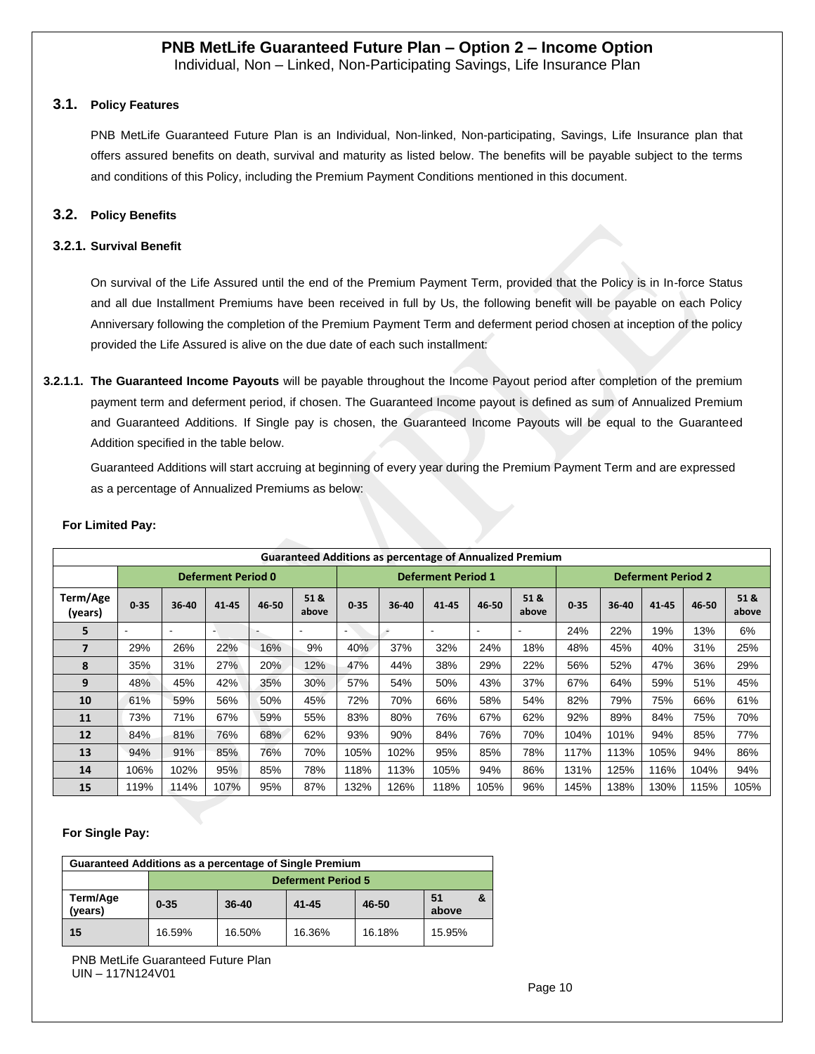Individual, Non – Linked, Non-Participating Savings, Life Insurance Plan

### **3.1. Policy Features**

PNB MetLife Guaranteed Future Plan is an Individual, Non-linked, Non-participating, Savings, Life Insurance plan that offers assured benefits on death, survival and maturity as listed below. The benefits will be payable subject to the terms and conditions of this Policy, including the Premium Payment Conditions mentioned in this document.

### **3.2. Policy Benefits**

#### **3.2.1. Survival Benefit**

On survival of the Life Assured until the end of the Premium Payment Term, provided that the Policy is in In-force Status and all due Installment Premiums have been received in full by Us, the following benefit will be payable on each Policy Anniversary following the completion of the Premium Payment Term and deferment period chosen at inception of the policy provided the Life Assured is alive on the due date of each such installment:

**3.2.1.1. The Guaranteed Income Payouts** will be payable throughout the Income Payout period after completion of the premium payment term and deferment period, if chosen. The Guaranteed Income payout is defined as sum of Annualized Premium and Guaranteed Additions. If Single pay is chosen, the Guaranteed Income Payouts will be equal to the Guaranteed Addition specified in the table below.

Guaranteed Additions will start accruing at beginning of every year during the Premium Payment Term and are expressed as a percentage of Annualized Premiums as below:

| <b>Guaranteed Additions as percentage of Annualized Premium</b> |                          |                |                          |                          |               |                           |       |                          |                          |                           |          |       |       |       |               |
|-----------------------------------------------------------------|--------------------------|----------------|--------------------------|--------------------------|---------------|---------------------------|-------|--------------------------|--------------------------|---------------------------|----------|-------|-------|-------|---------------|
| <b>Deferment Period 0</b>                                       |                          |                |                          |                          |               | <b>Deferment Period 1</b> |       |                          |                          | <b>Deferment Period 2</b> |          |       |       |       |               |
| Term/Age<br>(years)                                             | $0 - 35$                 | 36-40          | 41-45                    | 46-50                    | 51 &<br>above | 0.35                      | 36-40 | 41 45                    | 46-50                    | 51 &<br>above             | $0 - 35$ | 36-40 | 41-45 | 46-50 | 51 &<br>above |
| 5                                                               | $\overline{\phantom{a}}$ | $\overline{a}$ | $\overline{\phantom{a}}$ | $\overline{\phantom{a}}$ |               | $\overline{\phantom{0}}$  | ۰     | $\overline{\phantom{a}}$ | $\overline{\phantom{a}}$ | $\overline{\phantom{a}}$  | 24%      | 22%   | 19%   | 13%   | 6%            |
| 7                                                               | 29%                      | 26%            | 22%                      | 16%                      | 9%            | 40%                       | 37%   | 32%                      | 24%                      | 18%                       | 48%      | 45%   | 40%   | 31%   | 25%           |
| 8                                                               | 35%                      | 31%            | 27%                      | 20%                      | 12%           | 47%                       | 44%   | 38%                      | 29%                      | 22%                       | 56%      | 52%   | 47%   | 36%   | 29%           |
| 9                                                               | 48%                      | 45%            | 42%                      | 35%                      | 30%           | 57%                       | 54%   | 50%                      | 43%                      | 37%                       | 67%      | 64%   | 59%   | 51%   | 45%           |
| 10                                                              | 61%                      | 59%            | 56%                      | 50%                      | 45%           | 72%                       | 70%   | 66%                      | 58%                      | 54%                       | 82%      | 79%   | 75%   | 66%   | 61%           |
| 11                                                              | 73%                      | 71%            | 67%                      | 59%                      | 55%           | 83%                       | 80%   | 76%                      | 67%                      | 62%                       | 92%      | 89%   | 84%   | 75%   | 70%           |
| 12                                                              | 84%                      | 81%            | 76%                      | 68%                      | 62%           | 93%                       | 90%   | 84%                      | 76%                      | 70%                       | 104%     | 101%  | 94%   | 85%   | 77%           |
| 13                                                              | 94%                      | 91%            | 85%                      | 76%                      | 70%           | 105%                      | 102%  | 95%                      | 85%                      | 78%                       | 117%     | 113%  | 105%  | 94%   | 86%           |
| 14                                                              | 106%                     | 102%           | 95%                      | 85%                      | 78%           | 118%                      | 113%  | 105%                     | 94%                      | 86%                       | 131%     | 125%  | 116%  | 104%  | 94%           |
| 15                                                              | 119%                     | 114%           | 107%                     | 95%                      | 87%           | 132%                      | 126%  | 118%                     | 105%                     | 96%                       | 145%     | 138%  | 130%  | 115%  | 105%          |

#### **For Limited Pay:**

#### **For Single Pay:**

| Guaranteed Additions as a percentage of Single Premium |                           |           |           |        |             |  |  |  |
|--------------------------------------------------------|---------------------------|-----------|-----------|--------|-------------|--|--|--|
|                                                        | <b>Deferment Period 5</b> |           |           |        |             |  |  |  |
| Term/Age<br>(vears)                                    | $0 - 35$                  | $36 - 40$ | $41 - 45$ | 46-50  | 51<br>above |  |  |  |
| 15                                                     | 16.59%                    | 16.50%    | 16.36%    | 16.18% | 15.95%      |  |  |  |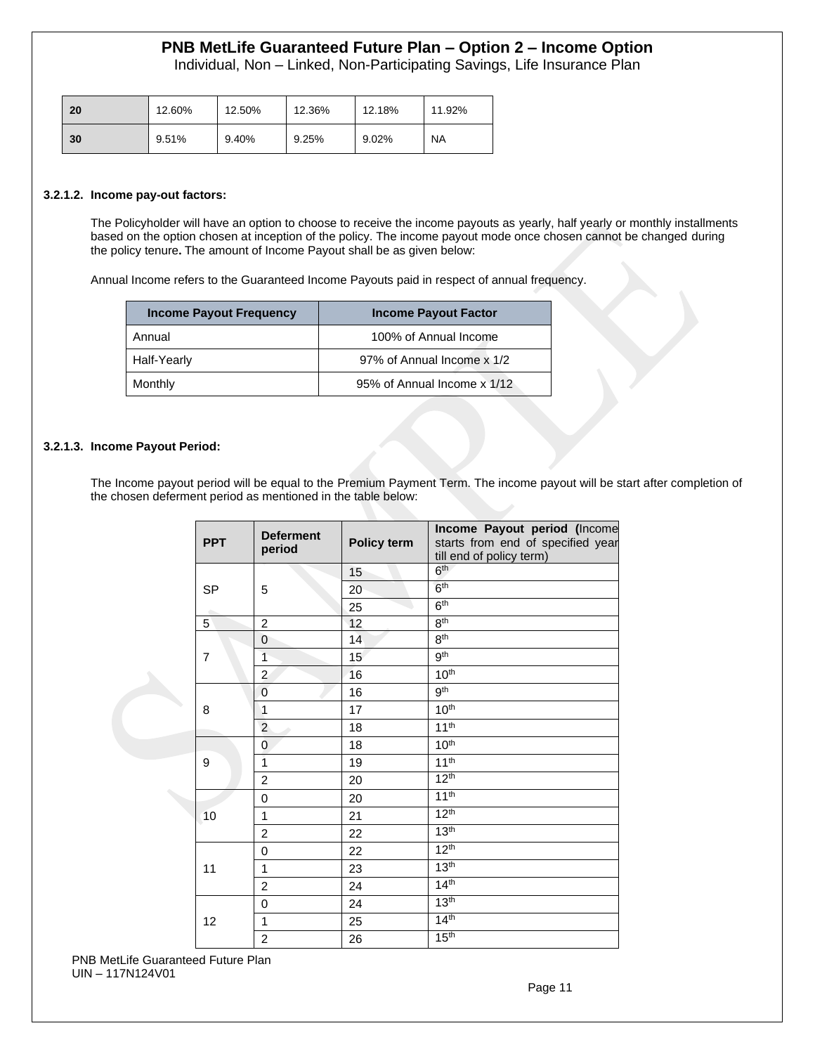Individual, Non – Linked, Non-Participating Savings, Life Insurance Plan

| 20 | 12.60% | 12.50% | 12.36% | 12.18% | 11.92%    |
|----|--------|--------|--------|--------|-----------|
| 30 | 9.51%  | 9.40%  | 9.25%  | 9.02%  | <b>NA</b> |

#### **3.2.1.2. Income pay-out factors:**

The Policyholder will have an option to choose to receive the income payouts as yearly, half yearly or monthly installments based on the option chosen at inception of the policy. The income payout mode once chosen cannot be changed during the policy tenure**.** The amount of Income Payout shall be as given below:

Annual Income refers to the Guaranteed Income Payouts paid in respect of annual frequency.

| <b>Income Payout Frequency</b> | <b>Income Payout Factor</b> |
|--------------------------------|-----------------------------|
| Annual                         | 100% of Annual Income       |
| Half-Yearly                    | 97% of Annual Income x 1/2  |
| Monthly                        | 95% of Annual Income x 1/12 |

#### **3.2.1.3. Income Payout Period:**

The Income payout period will be equal to the Premium Payment Term. The income payout will be start after completion of the chosen deferment period as mentioned in the table below:

| <b>PPT</b>     | <b>Deferment</b><br>period | Policy term | Income Payout period (Income<br>starts from end of specified year<br>till end of policy term) |
|----------------|----------------------------|-------------|-----------------------------------------------------------------------------------------------|
|                |                            | 15          | 6 <sup>th</sup>                                                                               |
| <b>SP</b>      | 5                          | 20          | 6 <sup>th</sup>                                                                               |
|                |                            | 25          | 6 <sup>th</sup>                                                                               |
| 5              | $\overline{2}$             | 12          | 8 <sup>th</sup>                                                                               |
|                | 0                          | 14          | 8 <sup>th</sup>                                                                               |
| $\overline{7}$ | $\overline{1}$             | 15          | gth                                                                                           |
|                | $\overline{c}$             | 16          | 10 <sup>th</sup>                                                                              |
|                | $\overline{0}$             | 16          | gth                                                                                           |
| 8              | 1                          | 17          | 10 <sup>th</sup>                                                                              |
|                | $\overline{c}$             | 18          | 11 <sup>th</sup>                                                                              |
|                | 0                          | 18          | 10 <sup>th</sup>                                                                              |
| 9              | $\overline{1}$             | 19          | $11^{th}$                                                                                     |
|                | 2                          | 20          | 12 <sup>th</sup>                                                                              |
|                | $\Omega$                   | 20          | 11 <sup>th</sup>                                                                              |
| 10             | 1                          | 21          | 12 <sup>th</sup>                                                                              |
|                | $\overline{2}$             | 22          | 13 <sup>th</sup>                                                                              |
|                | $\mathbf 0$                | 22          | 12 <sup>th</sup>                                                                              |
| 11             | 1                          | 23          | 13 <sup>th</sup>                                                                              |
|                | $\overline{2}$             | 24          | 14 <sup>th</sup>                                                                              |
|                | 0                          | 24          | 13 <sup>th</sup>                                                                              |
| 12             | 1                          | 25          | 14 <sup>th</sup>                                                                              |
|                | $\overline{2}$             | 26          | 15 <sup>th</sup>                                                                              |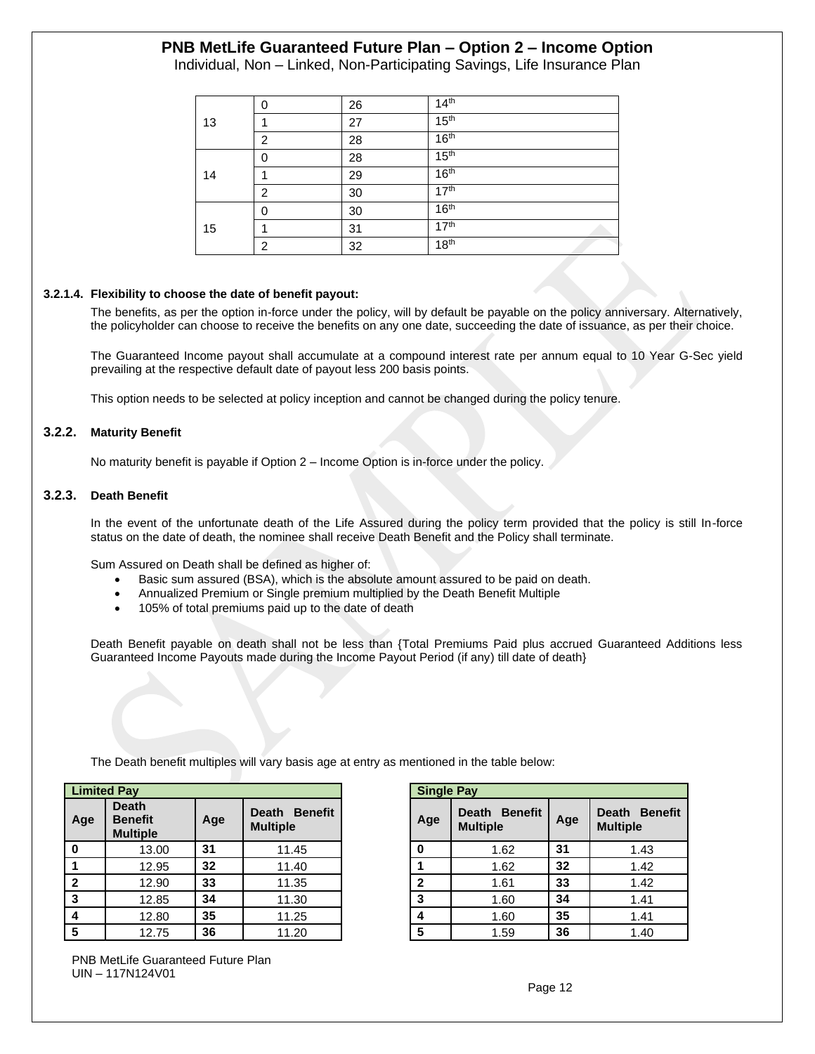Individual, Non – Linked, Non-Participating Savings, Life Insurance Plan

|    | 0 | 26 | 14 <sup>th</sup> |
|----|---|----|------------------|
| 13 |   | 27 | 15 <sup>th</sup> |
|    | 2 | 28 | 16 <sup>th</sup> |
|    | 0 | 28 | 15 <sup>th</sup> |
| 14 |   | 29 | 16 <sup>th</sup> |
|    | 2 | 30 | 17 <sup>th</sup> |
|    | 0 | 30 | 16 <sup>th</sup> |
| 15 |   | 31 | 17 <sup>th</sup> |
|    | 2 | 32 | 18 <sup>th</sup> |

#### **3.2.1.4. Flexibility to choose the date of benefit payout:**

The benefits, as per the option in-force under the policy, will by default be payable on the policy anniversary. Alternatively, the policyholder can choose to receive the benefits on any one date, succeeding the date of issuance, as per their choice.

The Guaranteed Income payout shall accumulate at a compound interest rate per annum equal to 10 Year G-Sec yield prevailing at the respective default date of payout less 200 basis points.

This option needs to be selected at policy inception and cannot be changed during the policy tenure.

#### **3.2.2. Maturity Benefit**

No maturity benefit is payable if Option 2 – Income Option is in-force under the policy.

#### **3.2.3. Death Benefit**

In the event of the unfortunate death of the Life Assured during the policy term provided that the policy is still In-force status on the date of death, the nominee shall receive Death Benefit and the Policy shall terminate.

Sum Assured on Death shall be defined as higher of:

- Basic sum assured (BSA), which is the absolute amount assured to be paid on death.
- Annualized Premium or Single premium multiplied by the Death Benefit Multiple
- 105% of total premiums paid up to the date of death

Death Benefit payable on death shall not be less than {Total Premiums Paid plus accrued Guaranteed Additions less Guaranteed Income Payouts made during the Income Payout Period (if any) till date of death}

| <b>Limited Pay</b> |                                                   |     |                                  | <b>Single Pay</b> |                                  |     |                              |
|--------------------|---------------------------------------------------|-----|----------------------------------|-------------------|----------------------------------|-----|------------------------------|
| Age                | <b>Death</b><br><b>Benefit</b><br><b>Multiple</b> | Age | Death Benefit<br><b>Multiple</b> | Age               | Death Benefit<br><b>Multiple</b> | Age | Death Ber<br><b>Multiple</b> |
| $\mathbf 0$        | 13.00                                             | 31  | 11.45                            | 0                 | 1.62                             | 31  | 1.43                         |
|                    | 12.95                                             | 32  | 11.40                            |                   | 1.62                             | 32  | 1.42                         |
| $\mathbf{2}$       | 12.90                                             | 33  | 11.35                            | $\mathbf{2}$      | 1.61                             | 33  | 1.42                         |
| 3                  | 12.85                                             | 34  | 11.30                            | 3                 | 1.60                             | 34  | 1.41                         |
| 4                  | 12.80                                             | 35  | 11.25                            | 4                 | 1.60                             | 35  | 1.41                         |
| 5                  | 12.75                                             | 36  | 11.20                            | 5                 | 1.59                             | 36  | 1.40                         |

The Death benefit multiples will vary basis age at entry as mentioned in the table below:

|                                            | <b>Single Pay</b> |                                  |     |                                  |  |  |  |  |  |  |  |
|--------------------------------------------|-------------------|----------------------------------|-----|----------------------------------|--|--|--|--|--|--|--|
| Death<br><b>Benefit</b><br><b>Multiple</b> | Age               | Death Benefit<br><b>Multiple</b> | Age | Death Benefit<br><b>Multiple</b> |  |  |  |  |  |  |  |
| 11.45                                      | 0                 | 1.62                             | 31  | 1.43                             |  |  |  |  |  |  |  |
| 11.40                                      |                   | 1.62                             | 32  | 1.42                             |  |  |  |  |  |  |  |
| 11.35                                      | $\mathbf{2}$      | 1.61                             | 33  | 1.42                             |  |  |  |  |  |  |  |
| 11.30                                      | 3                 | 1.60                             | 34  | 1.41                             |  |  |  |  |  |  |  |
| 11.25                                      | 4                 | 1.60                             | 35  | 1.41                             |  |  |  |  |  |  |  |
| 11.20                                      | 5                 | 1.59                             | 36  | 1.40                             |  |  |  |  |  |  |  |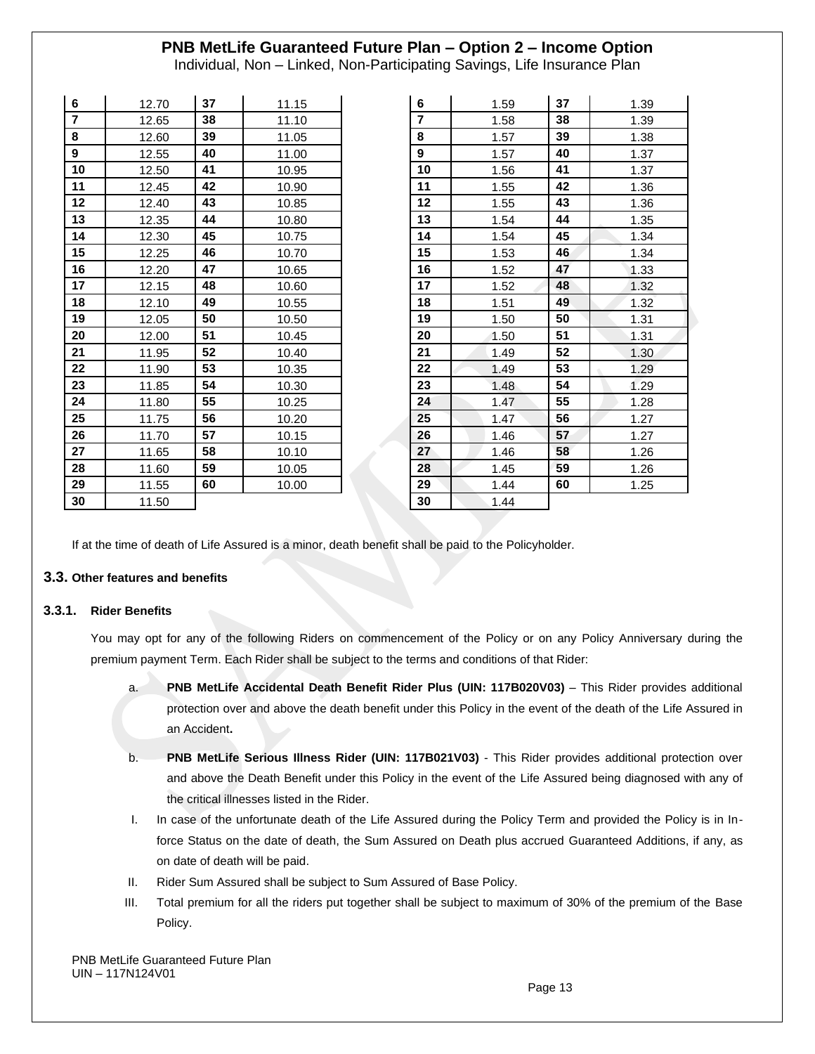Individual, Non – Linked, Non-Participating Savings, Life Insurance Plan

| 6                | 12.70 | 37 | 11.15 | 6              | 1.59 | 37 | 1.39 |
|------------------|-------|----|-------|----------------|------|----|------|
| $\overline{7}$   | 12.65 | 38 | 11.10 | $\overline{7}$ | 1.58 | 38 | 1.39 |
| 8                | 12.60 | 39 | 11.05 | 8              | 1.57 | 39 | 1.38 |
| $\boldsymbol{9}$ | 12.55 | 40 | 11.00 | 9              | 1.57 | 40 | 1.37 |
| 10               | 12.50 | 41 | 10.95 | 10             | 1.56 | 41 | 1.37 |
| 11               | 12.45 | 42 | 10.90 | 11             | 1.55 | 42 | 1.36 |
| 12               | 12.40 | 43 | 10.85 | $12 \,$        | 1.55 | 43 | 1.36 |
| 13               | 12.35 | 44 | 10.80 | 13             | 1.54 | 44 | 1.35 |
| 14               | 12.30 | 45 | 10.75 | 14             | 1.54 | 45 | 1.34 |
| 15               | 12.25 | 46 | 10.70 | 15             | 1.53 | 46 | 1.34 |
| 16               | 12.20 | 47 | 10.65 | 16             | 1.52 | 47 | 1.33 |
| 17               | 12.15 | 48 | 10.60 | 17             | 1.52 | 48 | 1.32 |
| 18               | 12.10 | 49 | 10.55 | 18             | 1.51 | 49 | 1.32 |
| 19               | 12.05 | 50 | 10.50 | 19             | 1.50 | 50 | 1.31 |
| 20               | 12.00 | 51 | 10.45 | 20             | 1.50 | 51 | 1.31 |
| 21               | 11.95 | 52 | 10.40 | 21             | 1.49 | 52 | 1.30 |
| 22               | 11.90 | 53 | 10.35 | 22             | 1.49 | 53 | 1.29 |
| 23               | 11.85 | 54 | 10.30 | 23             | 1.48 | 54 | 1.29 |
| 24               | 11.80 | 55 | 10.25 | 24             | 1.47 | 55 | 1.28 |
| 25               | 11.75 | 56 | 10.20 | 25             | 1.47 | 56 | 1.27 |
| 26               | 11.70 | 57 | 10.15 | 26             | 1.46 | 57 | 1.27 |
| 27               | 11.65 | 58 | 10.10 | 27             | 1.46 | 58 | 1.26 |
| 28               | 11.60 | 59 | 10.05 | 28             | 1.45 | 59 | 1.26 |
| 29               | 11.55 | 60 | 10.00 | 29             | 1.44 | 60 | 1.25 |
| 30               | 11.50 |    |       | 30             | 1.44 |    |      |

| 6  |      | 37 |           |
|----|------|----|-----------|
|    | 1.59 |    | 1.39      |
| 7  | 1.58 | 38 | 1.39      |
| 8  | 1.57 | 39 | 1.38      |
| 9  | 1.57 | 40 | 1.37      |
| 10 | 1.56 | 41 | 1.37      |
| 11 | 1.55 | 42 | 1.36      |
| 12 | 1.55 | 43 | 1.36      |
| 13 | 1.54 | 44 | 1.35      |
| 14 | 1.54 | 45 | 1.34      |
| 15 | 1.53 | 46 | 1.34      |
| 16 | 1.52 | 47 | 1.33      |
| 17 | 1.52 | 48 | 1.32      |
| 18 | 1.51 | 49 | 1.32      |
| 19 | 1.50 | 50 | 1.31      |
| 20 | 1.50 | 51 | 1.31      |
| 21 | 1.49 | 52 | 1.30      |
| 22 | 1.49 | 53 | 1.29<br>۴ |
| 23 | 1.48 | 54 | 1.29      |
| 24 | 1.47 | 55 | 1.28      |
| 25 | 1.47 | 56 | 1.27      |
| 26 | 1.46 | 57 | 1.27      |
| 27 | 1.46 | 58 | 1.26      |
| 28 | 1.45 | 59 | 1.26      |
| 29 | 1.44 | 60 | 1.25      |
| 30 | 1.44 |    |           |

If at the time of death of Life Assured is a minor, death benefit shall be paid to the Policyholder.

#### **3.3. Other features and benefits**

#### **3.3.1. Rider Benefits**

You may opt for any of the following Riders on commencement of the Policy or on any Policy Anniversary during the premium payment Term. Each Rider shall be subject to the terms and conditions of that Rider:

- a. **PNB MetLife Accidental Death Benefit Rider Plus (UIN: 117B020V03)** This Rider provides additional protection over and above the death benefit under this Policy in the event of the death of the Life Assured in an Accident**.**
- b. **PNB MetLife Serious Illness Rider (UIN: 117B021V03)** This Rider provides additional protection over and above the Death Benefit under this Policy in the event of the Life Assured being diagnosed with any of the critical illnesses listed in the Rider.
- I. In case of the unfortunate death of the Life Assured during the Policy Term and provided the Policy is in Inforce Status on the date of death, the Sum Assured on Death plus accrued Guaranteed Additions, if any, as on date of death will be paid.
- II. Rider Sum Assured shall be subject to Sum Assured of Base Policy.
- III. Total premium for all the riders put together shall be subject to maximum of 30% of the premium of the Base Policy.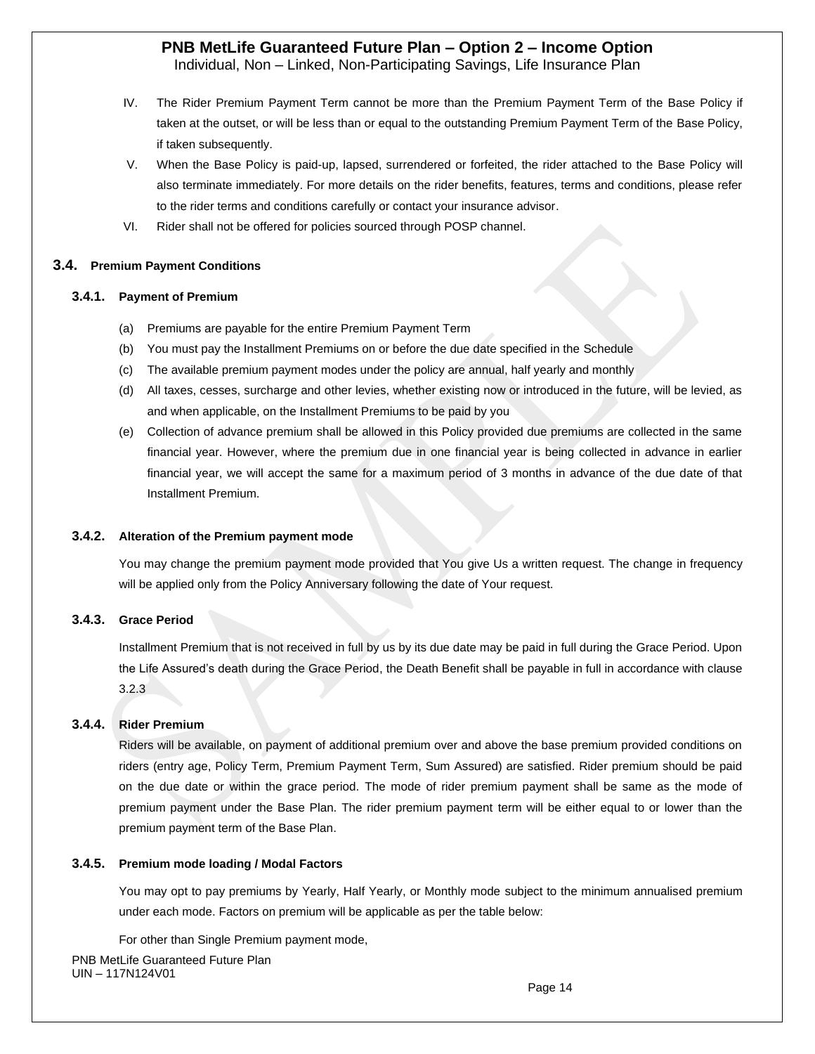Individual, Non – Linked, Non-Participating Savings, Life Insurance Plan

- IV. The Rider Premium Payment Term cannot be more than the Premium Payment Term of the Base Policy if taken at the outset, or will be less than or equal to the outstanding Premium Payment Term of the Base Policy, if taken subsequently.
- V. When the Base Policy is paid-up, lapsed, surrendered or forfeited, the rider attached to the Base Policy will also terminate immediately. For more details on the rider benefits, features, terms and conditions, please refer to the rider terms and conditions carefully or contact your insurance advisor.
- VI. Rider shall not be offered for policies sourced through POSP channel.

#### **3.4. Premium Payment Conditions**

#### **3.4.1. Payment of Premium**

- (a) Premiums are payable for the entire Premium Payment Term
- (b) You must pay the Installment Premiums on or before the due date specified in the Schedule
- (c) The available premium payment modes under the policy are annual, half yearly and monthly
- (d) All taxes, cesses, surcharge and other levies, whether existing now or introduced in the future, will be levied, as and when applicable, on the Installment Premiums to be paid by you
- (e) Collection of advance premium shall be allowed in this Policy provided due premiums are collected in the same financial year. However, where the premium due in one financial year is being collected in advance in earlier financial year, we will accept the same for a maximum period of 3 months in advance of the due date of that Installment Premium.

#### **3.4.2. Alteration of the Premium payment mode**

You may change the premium payment mode provided that You give Us a written request. The change in frequency will be applied only from the Policy Anniversary following the date of Your request.

### **3.4.3. Grace Period**

Installment Premium that is not received in full by us by its due date may be paid in full during the Grace Period. Upon the Life Assured's death during the Grace Period, the Death Benefit shall be payable in full in accordance with clause 3.2.3

#### **3.4.4. Rider Premium**

Riders will be available, on payment of additional premium over and above the base premium provided conditions on riders (entry age, Policy Term, Premium Payment Term, Sum Assured) are satisfied. Rider premium should be paid on the due date or within the grace period. The mode of rider premium payment shall be same as the mode of premium payment under the Base Plan. The rider premium payment term will be either equal to or lower than the premium payment term of the Base Plan.

#### **3.4.5. Premium mode loading / Modal Factors**

You may opt to pay premiums by Yearly, Half Yearly, or Monthly mode subject to the minimum annualised premium under each mode. Factors on premium will be applicable as per the table below:

PNB MetLife Guaranteed Future Plan UIN – 117N124V01 For other than Single Premium payment mode,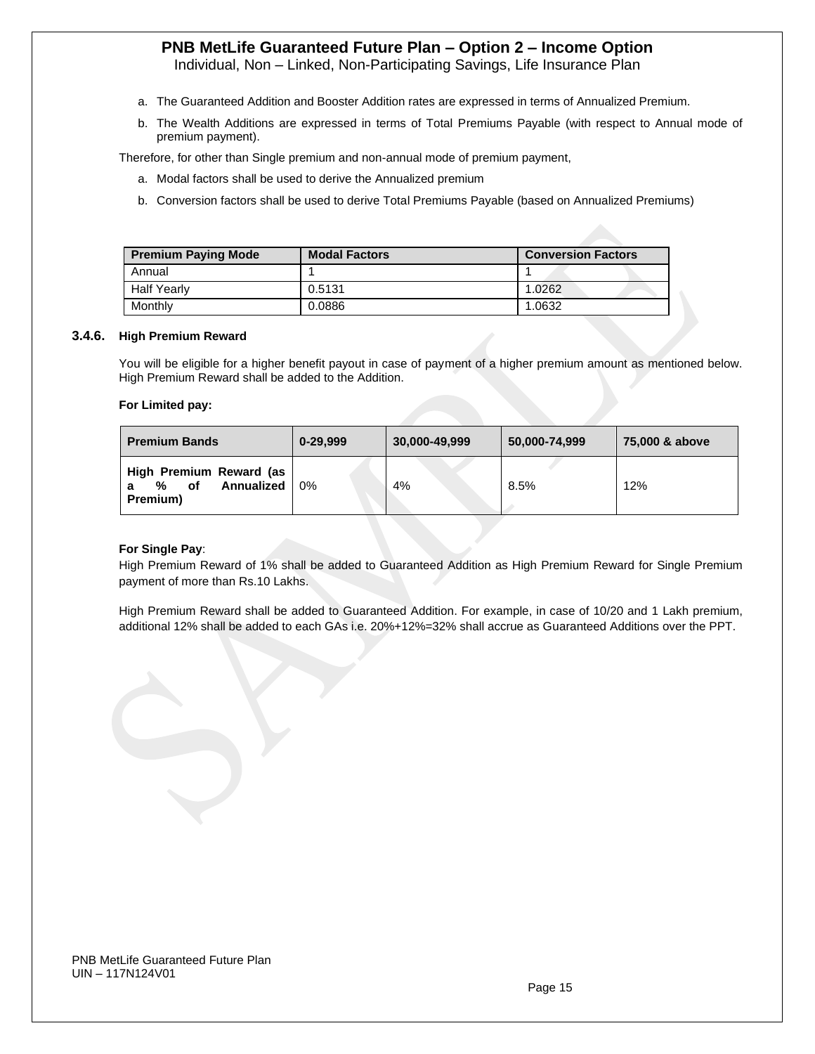Individual, Non – Linked, Non-Participating Savings, Life Insurance Plan

- a. The Guaranteed Addition and Booster Addition rates are expressed in terms of Annualized Premium.
- b. The Wealth Additions are expressed in terms of Total Premiums Payable (with respect to Annual mode of premium payment).

Therefore, for other than Single premium and non-annual mode of premium payment,

- a. Modal factors shall be used to derive the Annualized premium
- b. Conversion factors shall be used to derive Total Premiums Payable (based on Annualized Premiums)

| <b>Premium Paying Mode</b> | <b>Modal Factors</b> | <b>Conversion Factors</b> |  |  |  |  |  |
|----------------------------|----------------------|---------------------------|--|--|--|--|--|
| Annual                     |                      |                           |  |  |  |  |  |
| <b>Half Yearly</b>         | 0.5131               | 1.0262                    |  |  |  |  |  |
| Monthly                    | 0.0886               | 1.0632                    |  |  |  |  |  |

#### **3.4.6. High Premium Reward**

You will be eligible for a higher benefit payout in case of payment of a higher premium amount as mentioned below. High Premium Reward shall be added to the Addition.

#### **For Limited pay:**

| <b>Premium Bands</b>                                         | 0-29,999 | 30,000-49,999 | 50,000-74,999 | 75,000 & above |  |  |
|--------------------------------------------------------------|----------|---------------|---------------|----------------|--|--|
| High Premium Reward (as<br>Annualized<br>%<br>οf<br>Premium) | 0%       | 4%            | 8.5%          | 12%            |  |  |

#### **For Single Pay**:

High Premium Reward of 1% shall be added to Guaranteed Addition as High Premium Reward for Single Premium payment of more than Rs.10 Lakhs.

High Premium Reward shall be added to Guaranteed Addition. For example, in case of 10/20 and 1 Lakh premium, additional 12% shall be added to each GAs i.e. 20%+12%=32% shall accrue as Guaranteed Additions over the PPT.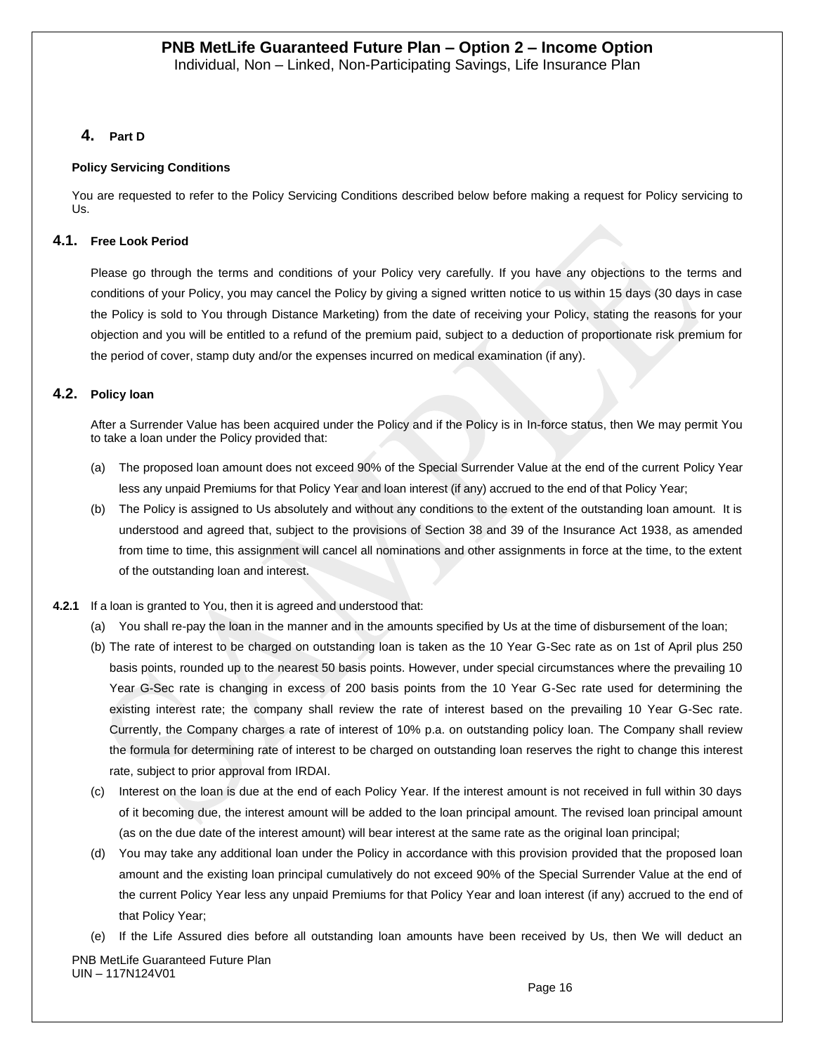### **4. Part D**

#### **Policy Servicing Conditions**

You are requested to refer to the Policy Servicing Conditions described below before making a request for Policy servicing to Us.

### **4.1. Free Look Period**

Please go through the terms and conditions of your Policy very carefully. If you have any objections to the terms and conditions of your Policy, you may cancel the Policy by giving a signed written notice to us within 15 days (30 days in case the Policy is sold to You through Distance Marketing) from the date of receiving your Policy, stating the reasons for your objection and you will be entitled to a refund of the premium paid, subject to a deduction of proportionate risk premium for the period of cover, stamp duty and/or the expenses incurred on medical examination (if any).

### **4.2. Policy loan**

After a Surrender Value has been acquired under the Policy and if the Policy is in In-force status, then We may permit You to take a loan under the Policy provided that:

- (a) The proposed loan amount does not exceed 90% of the Special Surrender Value at the end of the current Policy Year less any unpaid Premiums for that Policy Year and loan interest (if any) accrued to the end of that Policy Year;
- (b) The Policy is assigned to Us absolutely and without any conditions to the extent of the outstanding loan amount. It is understood and agreed that, subject to the provisions of Section 38 and 39 of the Insurance Act 1938, as amended from time to time, this assignment will cancel all nominations and other assignments in force at the time, to the extent of the outstanding loan and interest.
- **4.2.1** If a loan is granted to You, then it is agreed and understood that:
	- (a) You shall re-pay the loan in the manner and in the amounts specified by Us at the time of disbursement of the loan;
	- (b) The rate of interest to be charged on outstanding loan is taken as the 10 Year G-Sec rate as on 1st of April plus 250 basis points, rounded up to the nearest 50 basis points. However, under special circumstances where the prevailing 10 Year G-Sec rate is changing in excess of 200 basis points from the 10 Year G-Sec rate used for determining the existing interest rate; the company shall review the rate of interest based on the prevailing 10 Year G-Sec rate. Currently, the Company charges a rate of interest of 10% p.a. on outstanding policy loan. The Company shall review the formula for determining rate of interest to be charged on outstanding loan reserves the right to change this interest rate, subject to prior approval from IRDAI.
	- (c) Interest on the loan is due at the end of each Policy Year. If the interest amount is not received in full within 30 days of it becoming due, the interest amount will be added to the loan principal amount. The revised loan principal amount (as on the due date of the interest amount) will bear interest at the same rate as the original loan principal;
	- (d) You may take any additional loan under the Policy in accordance with this provision provided that the proposed loan amount and the existing loan principal cumulatively do not exceed 90% of the Special Surrender Value at the end of the current Policy Year less any unpaid Premiums for that Policy Year and loan interest (if any) accrued to the end of that Policy Year;
	- (e) If the Life Assured dies before all outstanding loan amounts have been received by Us, then We will deduct an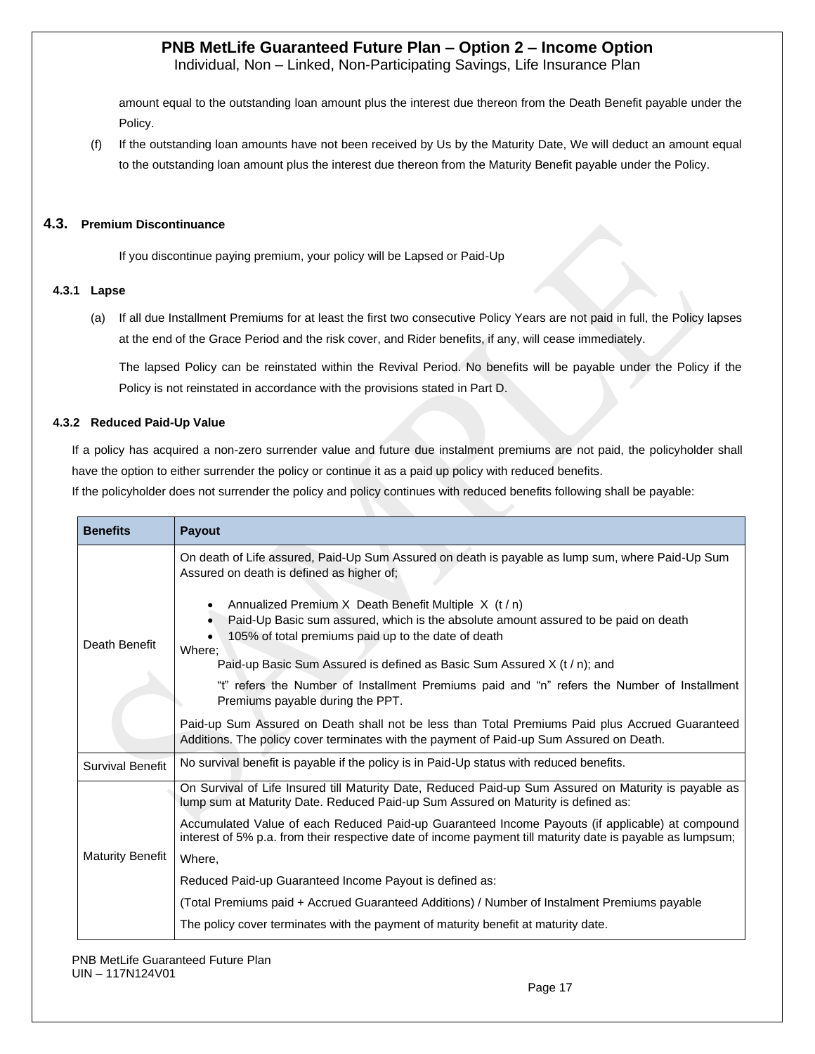Individual, Non – Linked, Non-Participating Savings, Life Insurance Plan

amount equal to the outstanding loan amount plus the interest due thereon from the Death Benefit payable under the Policy.

(f) If the outstanding loan amounts have not been received by Us by the Maturity Date, We will deduct an amount equal to the outstanding loan amount plus the interest due thereon from the Maturity Benefit payable under the Policy.

#### **4.3. Premium Discontinuance**

If you discontinue paying premium, your policy will be Lapsed or Paid-Up

#### **4.3.1 Lapse**

(a) If all due Installment Premiums for at least the first two consecutive Policy Years are not paid in full, the Policy lapses at the end of the Grace Period and the risk cover, and Rider benefits, if any, will cease immediately.

The lapsed Policy can be reinstated within the Revival Period. No benefits will be payable under the Policy if the Policy is not reinstated in accordance with the provisions stated in Part D.

#### **4.3.2 Reduced Paid-Up Value**

If a policy has acquired a non-zero surrender value and future due instalment premiums are not paid, the policyholder shall have the option to either surrender the policy or continue it as a paid up policy with reduced benefits.

If the policyholder does not surrender the policy and policy continues with reduced benefits following shall be payable:

| <b>Benefits</b>         | Payout                                                                                                                                                                                                        |
|-------------------------|---------------------------------------------------------------------------------------------------------------------------------------------------------------------------------------------------------------|
|                         | On death of Life assured, Paid-Up Sum Assured on death is payable as lump sum, where Paid-Up Sum<br>Assured on death is defined as higher of:                                                                 |
| Death Benefit           | Annualized Premium X Death Benefit Multiple X (t / n)<br>Paid-Up Basic sum assured, which is the absolute amount assured to be paid on death<br>105% of total premiums paid up to the date of death<br>Where; |
|                         | Paid-up Basic Sum Assured is defined as Basic Sum Assured X (t / n); and                                                                                                                                      |
|                         | "t" refers the Number of Installment Premiums paid and "n" refers the Number of Installment<br>Premiums payable during the PPT.                                                                               |
|                         | Paid-up Sum Assured on Death shall not be less than Total Premiums Paid plus Accrued Guaranteed<br>Additions. The policy cover terminates with the payment of Paid-up Sum Assured on Death.                   |
| <b>Survival Benefit</b> | No survival benefit is payable if the policy is in Paid-Up status with reduced benefits.                                                                                                                      |
|                         | On Survival of Life Insured till Maturity Date, Reduced Paid-up Sum Assured on Maturity is payable as<br>lump sum at Maturity Date. Reduced Paid-up Sum Assured on Maturity is defined as:                    |
|                         | Accumulated Value of each Reduced Paid-up Guaranteed Income Payouts (if applicable) at compound<br>interest of 5% p.a. from their respective date of income payment till maturity date is payable as lumpsum; |
| <b>Maturity Benefit</b> | Where,                                                                                                                                                                                                        |
|                         | Reduced Paid-up Guaranteed Income Payout is defined as:                                                                                                                                                       |
|                         | (Total Premiums paid + Accrued Guaranteed Additions) / Number of Instalment Premiums payable                                                                                                                  |
|                         | The policy cover terminates with the payment of maturity benefit at maturity date.                                                                                                                            |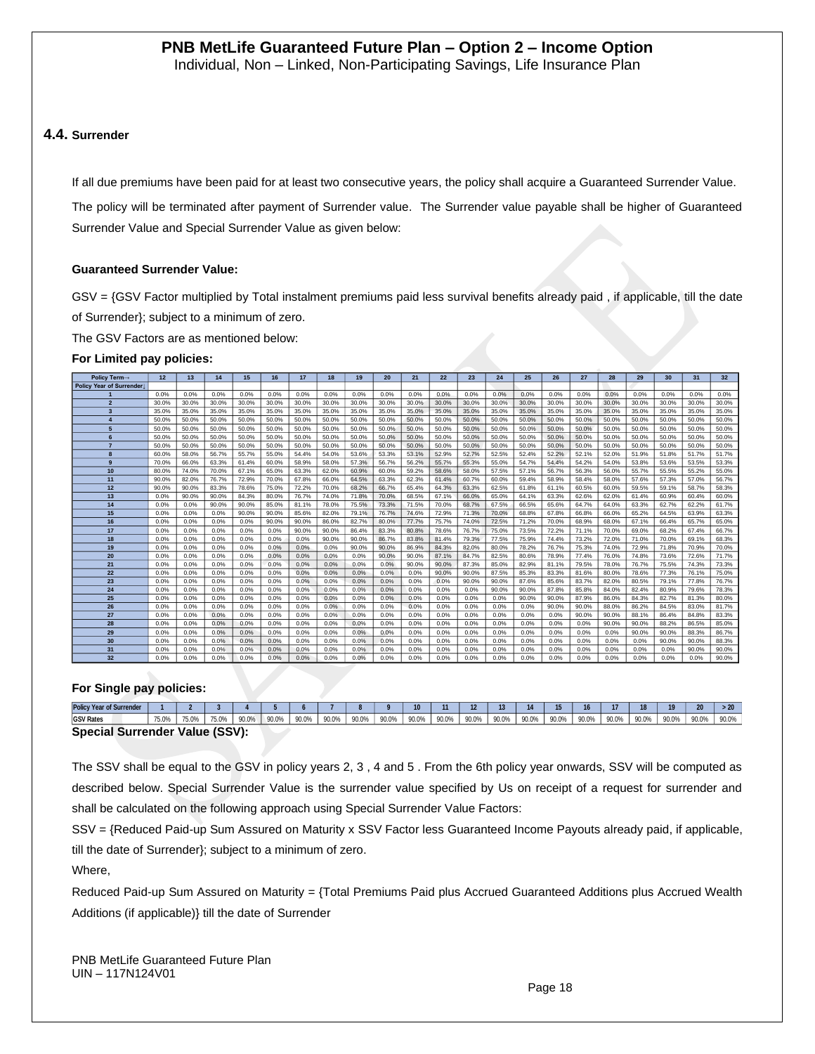#### **4.4. Surrender**

If all due premiums have been paid for at least two consecutive years, the policy shall acquire a Guaranteed Surrender Value.

The policy will be terminated after payment of Surrender value. The Surrender value payable shall be higher of Guaranteed Surrender Value and Special Surrender Value as given below:

#### **Guaranteed Surrender Value:**

GSV = {GSV Factor multiplied by Total instalment premiums paid less survival benefits already paid , if applicable, till the date of Surrender}; subject to a minimum of zero.

The GSV Factors are as mentioned below:

#### **For Limited pay policies:**

| Policy Term-             | 12    | 13    | 14    | 15    | 16    | 17    | 18    | 19    | 20    | 21    | 22    | 23    | 24    | 25    | 26    | 27    | 28    | 29    | 30    | 31    | 32 <sub>2</sub> |
|--------------------------|-------|-------|-------|-------|-------|-------|-------|-------|-------|-------|-------|-------|-------|-------|-------|-------|-------|-------|-------|-------|-----------------|
| Policy Year of Surrender |       |       |       |       |       |       |       |       |       |       |       |       |       |       |       |       |       |       |       |       |                 |
|                          | 0.0%  | 0.0%  | 0.0%  | 0.0%  | 0.0%  | 0.0%  | 0.0%  | 0.0%  | 0.0%  | 0.0%  | 0.0%  | 0.0%  | 0.0%  | 0.0%  | 0.0%  | 0.0%  | 0.0%  | 0.0%  | 0.0%  | 0.0%  | 0.0%            |
| $\overline{2}$           | 30.0% | 30.0% | 30.0% | 30.0% | 30.0% | 30.0% | 30.0% | 30.0% | 30.0% | 30.0% | 30.0% | 30.0% | 30.0% | 30.0% | 30.0% | 30.0% | 30.0% | 30.0% | 30.0% | 30.0% | 30.0%           |
| $\overline{3}$           | 35.0% | 35.0% | 35.0% | 35.0% | 35.0% | 35.0% | 35.0% | 35.0% | 35.0% | 35.0% | 35.0% | 35.0% | 35.0% | 35.0% | 35.0% | 35.0% | 35.0% | 35.0% | 35.0% | 35.0% | 35.0%           |
|                          | 50.0% | 50.0% | 50.0% | 50.0% | 50.0% | 50.0% | 50.0% | 50.0% | 50.0% | 50.0% | 50.0% | 50.0% | 50.0% | 50.0% | 50.0% | 50.0% | 50.0% | 50.0% | 50.0% | 50.0% | 50.0%           |
| 5                        | 50.0% | 50.0% | 50.0% | 50.0% | 50.0% | 50.0% | 50.0% | 50.0% | 50.0% | 50.0% | 50.0% | 50.0% | 50.0% | 50.0% | 50.0% | 50.0% | 50.0% | 50.0% | 50.0% | 50.0% | 50.0%           |
| 6                        | 50.0% | 50.0% | 50.0% | 50.0% | 50.0% | 50.0% | 50.0% | 50.0% | 50.0% | 50.0% | 50.0% | 50.0% | 50.0% | 50.0% | 50.0% | 50.0% | 50.0% | 50.0% | 50.0% | 50.0% | 50.0%           |
|                          | 50.0% | 50.0% | 50.0% | 50.0% | 50.0% | 50.0% | 50.0% | 50.0% | 50.0% | 50.0% | 50.0% | 50.0% | 50.0% | 50.0% | 50.0% | 50.0% | 50.0% | 50.0% | 50.0% | 50.0% | 50.0%           |
| 8                        | 60.0% | 58.0% | 56.7% | 55.7% | 55.0% | 54.4% | 54.0% | 53.6% | 53.3% | 53.1% | 52.9% | 52.7% | 52.5% | 52.4% | 52.2% | 52.1% | 52.0% | 51.9% | 51.8% | 51.7% | 51.7%           |
| $\mathbf{9}$             | 70.0% | 66.0% | 63.3% | 61.4% | 60.0% | 58.9% | 58.0% | 57.3% | 56.7% | 56.2% | 55.7% | 55.3% | 55.0% | 54.7% | 54.4% | 54.2% | 54.0% | 53.8% | 53.6% | 53.5% | 53.3%           |
| 10                       | 80.0% | 74.0% | 70.0% | 67.1% | 65.0% | 63.3% | 62.0% | 60.9% | 60.0% | 59.2% | 58.6% | 58.0% | 57.5% | 57.1% | 56.7% | 56.3% | 56.0% | 55.7% | 55.5% | 55.2% | 55.0%           |
| 11                       | 90.0% | 82.0% | 76.7% | 72.9% | 70.0% | 67.8% | 66.0% | 64.5% | 63.3% | 62.3% | 61.4% | 60.7% | 60.0% | 59.4% | 58.9% | 58.4% | 58.0% | 57.6% | 57.3% | 57.0% | 56.7%           |
| 12                       | 90.0% | 90.0% | 83.3% | 78.6% | 75.0% | 72.2% | 70.0% | 68.2% | 66.7% | 65.4% | 64.3% | 63.3% | 62.5% | 61.8% | 61.1% | 60.5% | 60.0% | 59.5% | 59.1% | 58.7% | 58.3%           |
| 13                       | 0.0%  | 90.0% | 90.0% | 84.3% | 80.0% | 76.7% | 74.0% | 71.8% | 70.0% | 68.5% | 67.1% | 66.0% | 65.0% | 64.1% | 63.3% | 62.6% | 62.0% | 61.4% | 60.9% | 60.4% | 60.0%           |
| 14                       | 0.0%  | 0.0%  | 90.0% | 90.0% | 85.0% | 81.1% | 78.0% | 75.5% | 73.3% | 71.5% | 70.0% | 68.7% | 67.5% | 66.5% | 65.6% | 64.7% | 64.0% | 63.3% | 62.7% | 62.2% | 61.7%           |
| 15                       | 0.0%  | 0.0%  | 0.0%  | 90.0% | 90.0% | 85.6% | 82.0% | 79.1% | 76.7% | 74.6% | 72.9% | 71.3% | 70.0% | 68.8% | 67.8% | 66.8% | 66.0% | 65.2% | 64.5% | 63.9% | 63.3%           |
| 16                       | 0.0%  | 0.0%  | 0.0%  | 0.0%  | 90.0% | 90.0% | 86.0% | 82.7% | 80.0% | 77.7% | 75.7% | 74.0% | 72.5% | 71.2% | 70.0% | 68.9% | 68.0% | 67.1% | 66.4% | 65.7% | 65.0%           |
| 17                       | 0.0%  | 0.0%  | 0.0%  | 0.0%  | 0.0%  | 90.0% | 90.0% | 86.4% | 83.3% | 80.8% | 78.6% | 76.7% | 75.0% | 73.5% | 72.2% | 71.1% | 70.0% | 69.0% | 68.2% | 67.4% | 66.7%           |
| 18                       | 0.0%  | 0.0%  | 0.0%  | 0.0%  | 0.0%  | 0.0%  | 90.0% | 90.0% | 86.7% | 83.8% | 81.4% | 79.3% | 77.5% | 75.9% | 74.4% | 73.2% | 72.0% | 71.0% | 70.0% | 69.1% | 68.3%           |
| 19                       | 0.0%  | 0.0%  | 0.0%  | 0.0%  | 0.0%  | 0.0%  | 0.0%  | 90.0% | 90.0% | 86.9% | 84.3% | 82.0% | 80.0% | 78.2% | 76.7% | 75.3% | 74.0% | 72.9% | 71.8% | 70.9% | 70.0%           |
| 20                       | 0.0%  | 0.0%  | 0.0%  | 0.0%  | 0.0%  | 0.0%  | 0.0%  | 0.0%  | 90.0% | 90.0% | 87.1% | 84.7% | 82.5% | 80.6% | 78.9% | 77.4% | 76.0% | 74.8% | 73.6% | 72.6% | 71.7%           |
| 21                       | 0.0%  | 0.0%  | 0.0%  | 0.0%  | 0.0%  | 0.0%  | 0.0%  | 0.0%  | 0.0%  | 90.0% | 90.0% | 87.3% | 85.0% | 82.9% | 81.1% | 79.5% | 78.0% | 76.7% | 75.5% | 74.3% | 73.3%           |
| 22                       | 0.0%  | 0.0%  | 0.0%  | 0.0%  | 0.0%  | 0.0%  | 0.0%  | 0.0%  | 0.0%  | 0.0%  | 90.0% | 90.0% | 87.5% | 85.3% | 83.3% | 81.6% | 80.0% | 78.6% | 77.3% | 76.1% | 75.0%           |
| 23                       | 0.0%  | 0.0%  | 0.0%  | 0.0%  | 0.0%  | 0.0%  | 0.0%  | 0.0%  | 0.0%  | 0.0%  | 0.0%  | 90.0% | 90.0% | 87.6% | 85.6% | 83.7% | 82.0% | 80.5% | 79.1% | 77.8% | 76.7%           |
| 24                       | 0.0%  | 0.0%  | 0.0%  | 0.0%  | 0.0%  | 0.0%  | 0.0%  | 0.0%  | 0.0%  | 0.0%  | 0.0%  | 0.0%  | 90.0% | 90.0% | 87.8% | 85.8% | 84.0% | 82.4% | 80.9% | 79.6% | 78.3%           |
| 25                       | 0.0%  | 0.0%  | 0.0%  | 0.0%  | 0.0%  | 0.0%  | 0.0%  | 0.0%  | 0.0%  | 0.0%  | 0.0%  | 0.0%  | 0.0%  | 90.0% | 90.0% | 87.9% | 86.0% | 84.3% | 82.7% | 81.3% | 80.0%           |
| 26                       | 0.0%  | 0.0%  | 0.0%  | 0.0%  | 0.0%  | 0.0%  | 0.0%  | 0.0%  | 0.0%  | 0.0%  | 0.0%  | 0.0%  | 0.0%  | 0.0%  | 90.0% | 90.0% | 88.0% | 86.2% | 84.5% | 83.0% | 81.7%           |
| 27                       | 0.0%  | 0.0%  | 0.0%  | 0.0%  | 0.0%  | 0.0%  | 0.0%  | 0.0%  | 0.0%  | 0.0%  | 0.0%  | 0.0%  | 0.0%  | 0.0%  | 0.0%  | 90.0% | 90.0% | 88.1% | 86.4% | 84.8% | 83.3%           |
| 28                       | 0.0%  | 0.0%  | 0.0%  | 0.0%  | 0.0%  | 0.0%  | 0.0%  | 0.0%  | 0.0%  | 0.0%  | 0.0%  | 0.0%  | 0.0%  | 0.0%  | 0.0%  | 0.0%  | 90.0% | 90.0% | 88.2% | 86.5% | 85.0%           |
| 29                       | 0.0%  | 0.0%  | 0.0%  | 0.0%  | 0.0%  | 0.0%  | 0.0%  | 0.0%  | 0.0%  | 0.0%  | 0.0%  | 0.0%  | 0.0%  | 0.0%  | 0.0%  | 0.0%  | 0.0%  | 90.0% | 90.0% | 88.3% | 86.7%           |
| 30                       | 0.0%  | 0.0%  | 0.0%  | 0.0%  | 0.0%  | 0.0%  | 0.0%  | 0.0%  | 0.0%  | 0.0%  | 0.0%  | 0.0%  | 0.0%  | 0.0%  | 0.0%  | 0.0%  | 0.0%  | 0.0%  | 90.0% | 90.0% | 88.3%           |
| 31                       | 0.0%  | 0.0%  | 0.0%  | 0.0%  | 0.0%  | 0.0%  | 0.0%  | 0.0%  | 0.0%  | 0.0%  | 0.0%  | 0.0%  | 0.0%  | 0.0%  | 0.0%  | 0.0%  | 0.0%  | 0.0%  | 0.0%  | 90.0% | 90.0%           |
| 32                       | 0.0%  | 0.0%  | 0.0%  | 0.0%  | 0.0%  | 0.0%  | 0.0%  | 0.0%  | 0.0%  | 0.0%  | 0.0%  | 0.0%  | 0.0%  | 0.0%  | 0.0%  | 0.0%  | 0.0%  | 0.0%  | 0.0%  | 0.0%  | 90.0%           |

#### **For Single pay policies:**

| <b>Policy Year of Surrender</b>       |       |       |       |       |       |       |       |       |       | 10    |       |       |       |       |       |       |       | 18    | 19    | 20    | -20   |
|---------------------------------------|-------|-------|-------|-------|-------|-------|-------|-------|-------|-------|-------|-------|-------|-------|-------|-------|-------|-------|-------|-------|-------|
| <b>GSV Rates</b>                      | 75.0% | 75.0% | 75.0% | 90.0% | 90.0% | 90.0% | 90.0% | 90.0% | 90.0% | 90.0% | 90.0% | 90.0% | 90.0% | 90.0% | 90.0% | 90.0% | 90.0% | 90.0% | 90.0% | 90.0% | 90.0% |
| <b>Special Surrender Value (SSV):</b> |       |       |       |       |       |       |       |       |       |       |       |       |       |       |       |       |       |       |       |       |       |

The SSV shall be equal to the GSV in policy years 2, 3 , 4 and 5 . From the 6th policy year onwards, SSV will be computed as described below. Special Surrender Value is the surrender value specified by Us on receipt of a request for surrender and shall be calculated on the following approach using Special Surrender Value Factors:

SSV = {Reduced Paid-up Sum Assured on Maturity x SSV Factor less Guaranteed Income Payouts already paid, if applicable, till the date of Surrender}; subject to a minimum of zero.

Where,

Reduced Paid-up Sum Assured on Maturity = {Total Premiums Paid plus Accrued Guaranteed Additions plus Accrued Wealth Additions (if applicable)} till the date of Surrender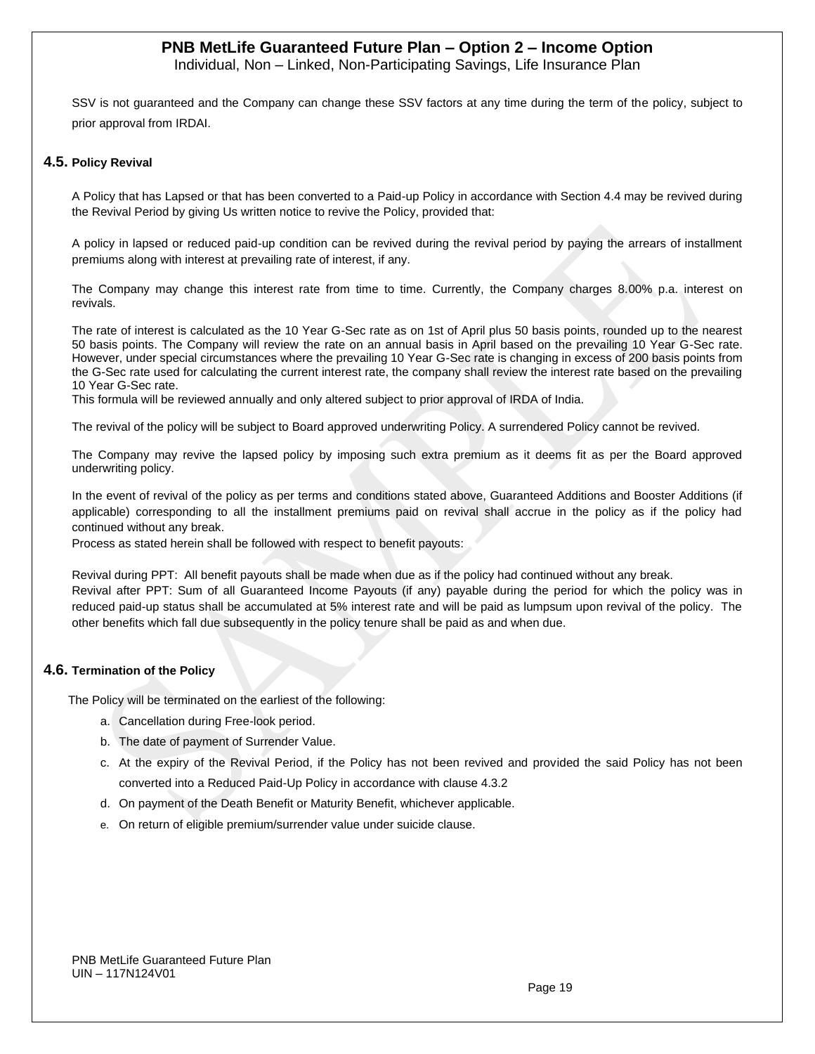Individual, Non – Linked, Non-Participating Savings, Life Insurance Plan

SSV is not guaranteed and the Company can change these SSV factors at any time during the term of the policy, subject to prior approval from IRDAI.

#### **4.5. Policy Revival**

A Policy that has Lapsed or that has been converted to a Paid-up Policy in accordance with Section 4.4 may be revived during the Revival Period by giving Us written notice to revive the Policy, provided that:

A policy in lapsed or reduced paid-up condition can be revived during the revival period by paying the arrears of installment premiums along with interest at prevailing rate of interest, if any.

The Company may change this interest rate from time to time. Currently, the Company charges 8.00% p.a. interest on revivals.

The rate of interest is calculated as the 10 Year G-Sec rate as on 1st of April plus 50 basis points, rounded up to the nearest 50 basis points. The Company will review the rate on an annual basis in April based on the prevailing 10 Year G-Sec rate. However, under special circumstances where the prevailing 10 Year G-Sec rate is changing in excess of 200 basis points from the G-Sec rate used for calculating the current interest rate, the company shall review the interest rate based on the prevailing 10 Year G-Sec rate.

This formula will be reviewed annually and only altered subject to prior approval of IRDA of India.

The revival of the policy will be subject to Board approved underwriting Policy. A surrendered Policy cannot be revived.

The Company may revive the lapsed policy by imposing such extra premium as it deems fit as per the Board approved underwriting policy.

In the event of revival of the policy as per terms and conditions stated above, Guaranteed Additions and Booster Additions (if applicable) corresponding to all the installment premiums paid on revival shall accrue in the policy as if the policy had continued without any break.

Process as stated herein shall be followed with respect to benefit payouts:

Revival during PPT: All benefit payouts shall be made when due as if the policy had continued without any break. Revival after PPT: Sum of all Guaranteed Income Payouts (if any) payable during the period for which the policy was in reduced paid-up status shall be accumulated at 5% interest rate and will be paid as lumpsum upon revival of the policy. The other benefits which fall due subsequently in the policy tenure shall be paid as and when due.

#### **4.6. Termination of the Policy**

The Policy will be terminated on the earliest of the following:

- a. Cancellation during Free-look period.
- b. The date of payment of Surrender Value.
- c. At the expiry of the Revival Period, if the Policy has not been revived and provided the said Policy has not been converted into a Reduced Paid-Up Policy in accordance with clause 4.3.2
- d. On payment of the Death Benefit or Maturity Benefit, whichever applicable.
- e. On return of eligible premium/surrender value under suicide clause.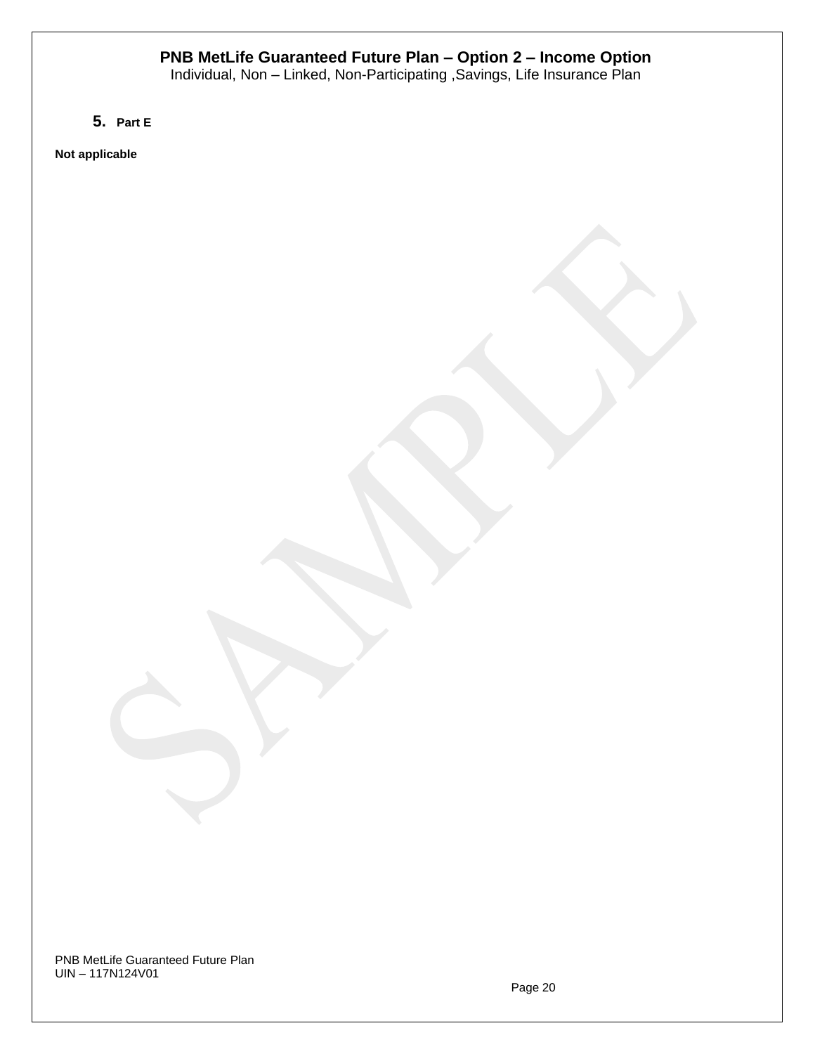Individual, Non – Linked, Non-Participating ,Savings, Life Insurance Plan

**5. Part E**

**Not applicable**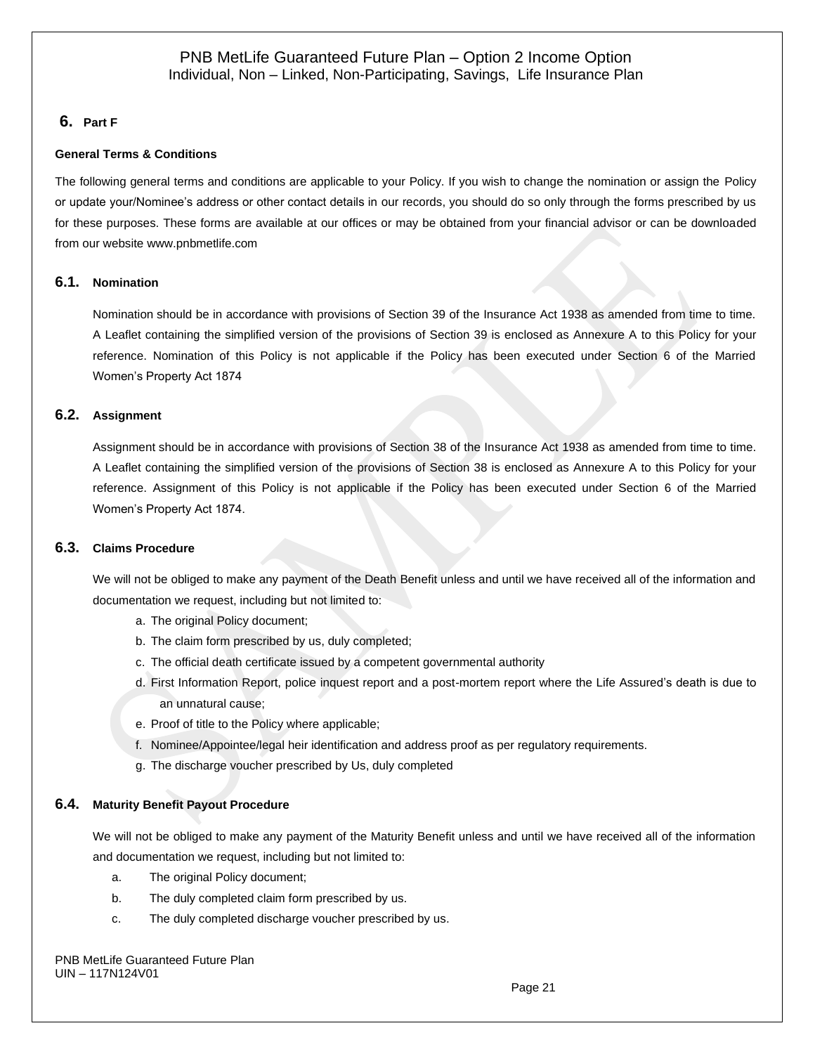### **6. Part F**

#### **General Terms & Conditions**

The following general terms and conditions are applicable to your Policy. If you wish to change the nomination or assign the Policy or update your/Nominee's address or other contact details in our records, you should do so only through the forms prescribed by us for these purposes. These forms are available at our offices or may be obtained from your financial advisor or can be downloaded from our website [www.pnbmetlife.com](http://www.pnbmetlife.com/)

#### **6.1. Nomination**

Nomination should be in accordance with provisions of Section 39 of the Insurance Act 1938 as amended from time to time. A Leaflet containing the simplified version of the provisions of Section 39 is enclosed as Annexure A to this Policy for your reference. Nomination of this Policy is not applicable if the Policy has been executed under Section 6 of the Married Women's Property Act 1874

#### **6.2. Assignment**

Assignment should be in accordance with provisions of Section 38 of the Insurance Act 1938 as amended from time to time. A Leaflet containing the simplified version of the provisions of Section 38 is enclosed as Annexure A to this Policy for your reference. Assignment of this Policy is not applicable if the Policy has been executed under Section 6 of the Married Women's Property Act 1874.

#### **6.3. Claims Procedure**

We will not be obliged to make any payment of the Death Benefit unless and until we have received all of the information and documentation we request, including but not limited to:

- a. The original Policy document;
- b. The claim form prescribed by us, duly completed;
- c. The official death certificate issued by a competent governmental authority
- d. First Information Report, police inquest report and a post-mortem report where the Life Assured's death is due to an unnatural cause;
- e. Proof of title to the Policy where applicable;
- f. Nominee/Appointee/legal heir identification and address proof as per regulatory requirements.
- g. The discharge voucher prescribed by Us, duly completed

#### **6.4. Maturity Benefit Payout Procedure**

We will not be obliged to make any payment of the Maturity Benefit unless and until we have received all of the information and documentation we request, including but not limited to:

- a. The original Policy document;
- b. The duly completed claim form prescribed by us.
- c. The duly completed discharge voucher prescribed by us.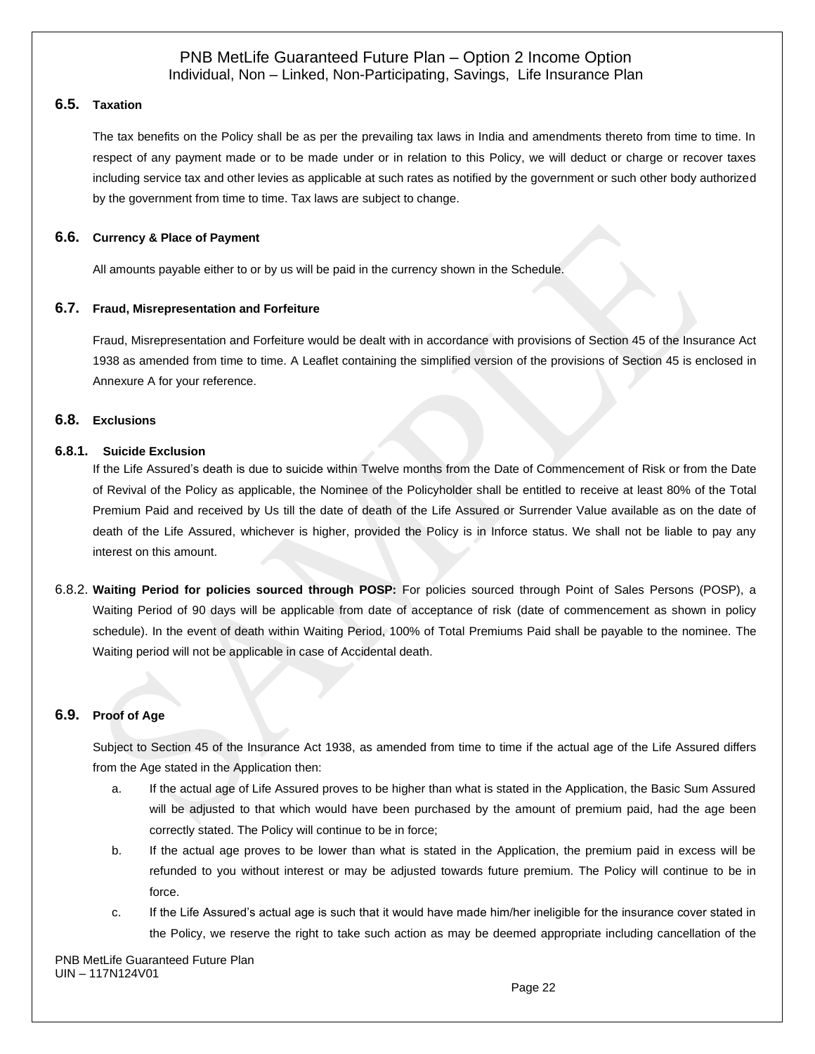### **6.5. Taxation**

The tax benefits on the Policy shall be as per the prevailing tax laws in India and amendments thereto from time to time. In respect of any payment made or to be made under or in relation to this Policy, we will deduct or charge or recover taxes including service tax and other levies as applicable at such rates as notified by the government or such other body authorized by the government from time to time. Tax laws are subject to change.

### **6.6. Currency & Place of Payment**

All amounts payable either to or by us will be paid in the currency shown in the Schedule.

#### **6.7. Fraud, Misrepresentation and Forfeiture**

Fraud, Misrepresentation and Forfeiture would be dealt with in accordance with provisions of Section 45 of the Insurance Act 1938 as amended from time to time. A Leaflet containing the simplified version of the provisions of Section 45 is enclosed in Annexure A for your reference.

### **6.8. Exclusions**

#### **6.8.1. Suicide Exclusion**

If the Life Assured's death is due to suicide within Twelve months from the Date of Commencement of Risk or from the Date of Revival of the Policy as applicable, the Nominee of the Policyholder shall be entitled to receive at least 80% of the Total Premium Paid and received by Us till the date of death of the Life Assured or Surrender Value available as on the date of death of the Life Assured, whichever is higher, provided the Policy is in Inforce status. We shall not be liable to pay any interest on this amount.

6.8.2. **Waiting Period for policies sourced through POSP:** For policies sourced through Point of Sales Persons (POSP), a Waiting Period of 90 days will be applicable from date of acceptance of risk (date of commencement as shown in policy schedule). In the event of death within Waiting Period, 100% of Total Premiums Paid shall be payable to the nominee. The Waiting period will not be applicable in case of Accidental death.

### **6.9. Proof of Age**

Subject to Section 45 of the Insurance Act 1938, as amended from time to time if the actual age of the Life Assured differs from the Age stated in the Application then:

- a. If the actual age of Life Assured proves to be higher than what is stated in the Application, the Basic Sum Assured will be adjusted to that which would have been purchased by the amount of premium paid, had the age been correctly stated. The Policy will continue to be in force;
- b. If the actual age proves to be lower than what is stated in the Application, the premium paid in excess will be refunded to you without interest or may be adjusted towards future premium. The Policy will continue to be in force.
- c. If the Life Assured's actual age is such that it would have made him/her ineligible for the insurance cover stated in the Policy, we reserve the right to take such action as may be deemed appropriate including cancellation of the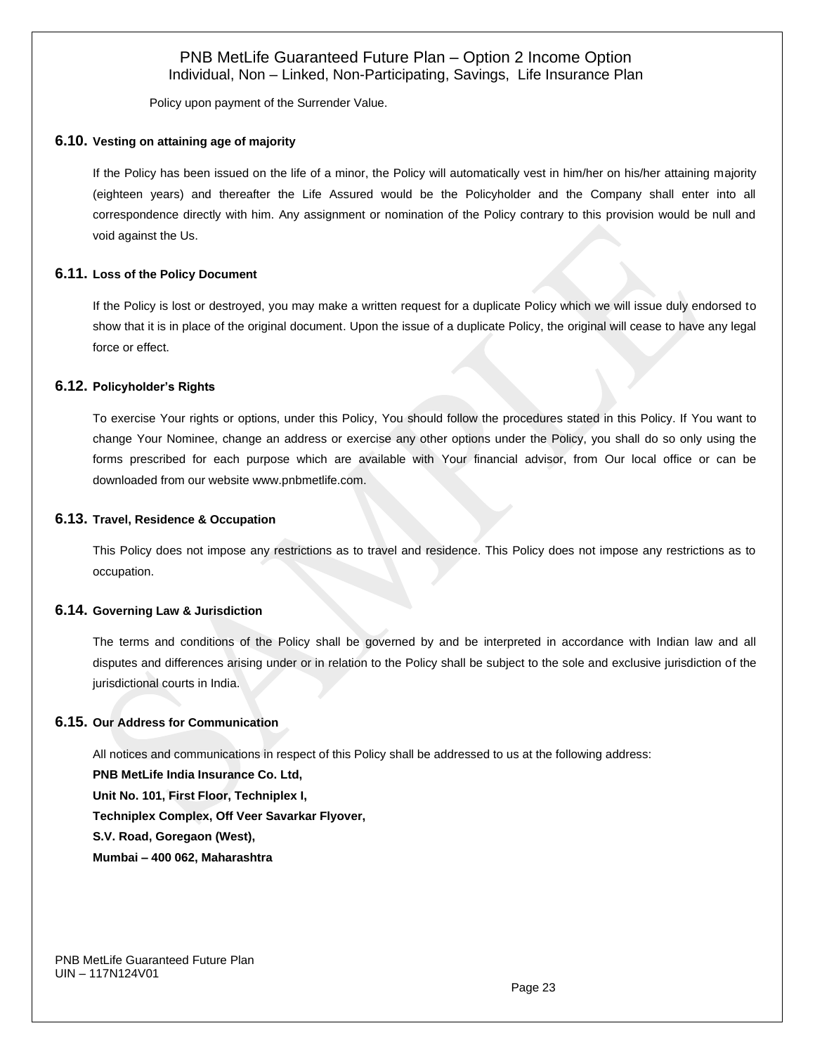Policy upon payment of the Surrender Value.

#### **6.10. Vesting on attaining age of majority**

If the Policy has been issued on the life of a minor, the Policy will automatically vest in him/her on his/her attaining majority (eighteen years) and thereafter the Life Assured would be the Policyholder and the Company shall enter into all correspondence directly with him. Any assignment or nomination of the Policy contrary to this provision would be null and void against the Us.

#### **6.11. Loss of the Policy Document**

If the Policy is lost or destroyed, you may make a written request for a duplicate Policy which we will issue duly endorsed to show that it is in place of the original document. Upon the issue of a duplicate Policy, the original will cease to have any legal force or effect.

#### **6.12. Policyholder's Rights**

To exercise Your rights or options, under this Policy, You should follow the procedures stated in this Policy. If You want to change Your Nominee, change an address or exercise any other options under the Policy, you shall do so only using the forms prescribed for each purpose which are available with Your financial advisor, from Our local office or can be downloaded from our website [www.pnbmetlife.com.](http://www.pnbmetlife.com/)

#### **6.13. Travel, Residence & Occupation**

This Policy does not impose any restrictions as to travel and residence. This Policy does not impose any restrictions as to occupation.

#### **6.14. Governing Law & Jurisdiction**

The terms and conditions of the Policy shall be governed by and be interpreted in accordance with Indian law and all disputes and differences arising under or in relation to the Policy shall be subject to the sole and exclusive jurisdiction of the jurisdictional courts in India.

#### **6.15. Our Address for Communication**

All notices and communications in respect of this Policy shall be addressed to us at the following address: **PNB MetLife India Insurance Co. Ltd, Unit No. 101, First Floor, Techniplex I, Techniplex Complex, Off Veer Savarkar Flyover, S.V. Road, Goregaon (West), Mumbai – 400 062, Maharashtra**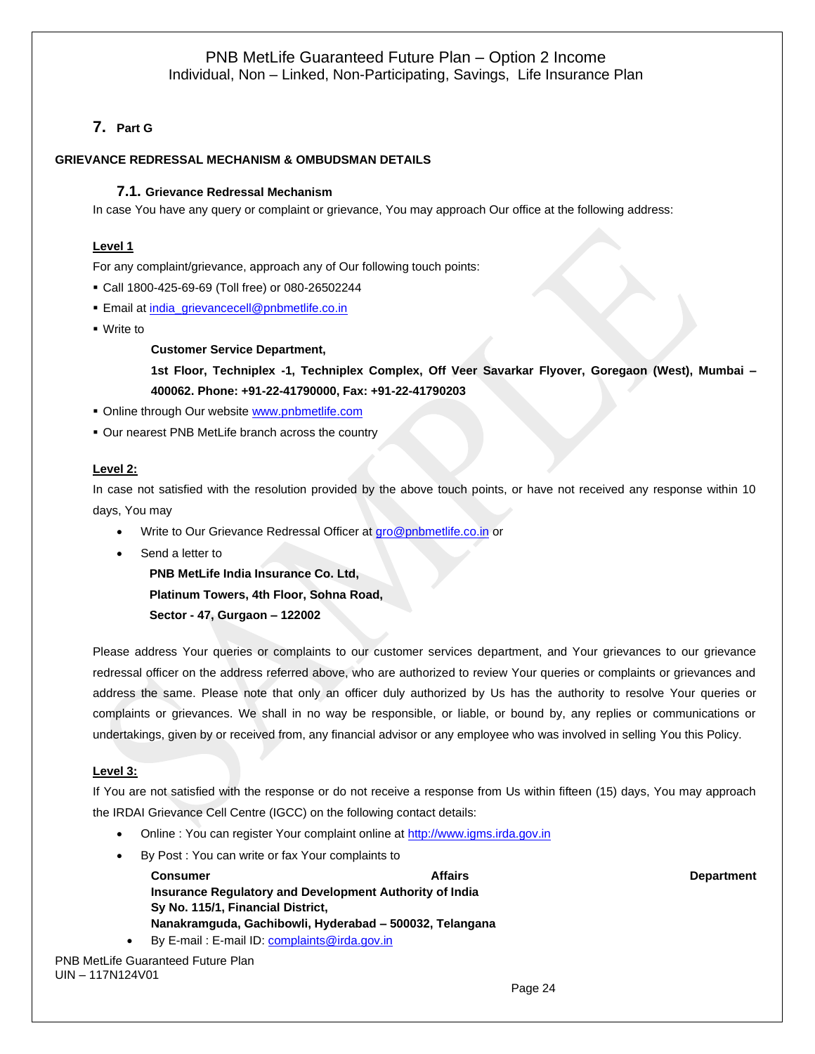# **7. Part G**

#### **GRIEVANCE REDRESSAL MECHANISM & OMBUDSMAN DETAILS**

#### **7.1. Grievance Redressal Mechanism**

In case You have any query or complaint or grievance, You may approach Our office at the following address:

#### **Level 1**

For any complaint/grievance, approach any of Our following touch points:

- Call 1800-425-69-69 (Toll free) or 080-26502244
- **Email a[t india\\_grievancecell@pnbmetlife.co.in](mailto:india_grievancecell@pnbmetlife.co.in)**
- Write to

**Customer Service Department,** 

**1st Floor, Techniplex -1, Techniplex Complex, Off Veer Savarkar Flyover, Goregaon (West), Mumbai – 400062. Phone: +91-22-41790000, Fax: +91-22-41790203**

- **Online through Our website [www.pnbmetlife.com](http://www.pnbmetlife.com/)**
- Our nearest PNB MetLife branch across the country

#### **Level 2:**

In case not satisfied with the resolution provided by the above touch points, or have not received any response within 10 days, You may

- Write to Our Grievance Redressal Officer at [gro@pnbmetlife.co.in](mailto:gro@pnbmetlife.co.in) or
- Send a letter to

**PNB MetLife India Insurance Co. Ltd, Platinum Towers, 4th Floor, Sohna Road, Sector - 47, Gurgaon – 122002**

Please address Your queries or complaints to our customer services department, and Your grievances to our grievance redressal officer on the address referred above, who are authorized to review Your queries or complaints or grievances and address the same. Please note that only an officer duly authorized by Us has the authority to resolve Your queries or complaints or grievances. We shall in no way be responsible, or liable, or bound by, any replies or communications or

#### **Level 3:**

If You are not satisfied with the response or do not receive a response from Us within fifteen (15) days, You may approach the IRDAI Grievance Cell Centre (IGCC) on the following contact details:

undertakings, given by or received from, any financial advisor or any employee who was involved in selling You this Policy.

- Online : You can register Your complaint online at [http://www.igms.irda.gov.in](http://www.igms.irda.gov.in/)
- By Post : You can write or fax Your complaints to

**Consumer Consumer Consumer Consumer Affairs** Affairs Affairs Affairs Affairs Department **Insurance Regulatory and Development Authority of India Sy No. 115/1, Financial District, Nanakramguda, Gachibowli, Hyderabad – 500032, Telangana** • By E-mail : E-mail ID[: complaints@irda.gov.in](mailto:complaints@irda.gov.in)

PNB MetLife Guaranteed Future Plan UIN – 117N124V01

Page 24 and the contract of the contract of the contract of the contract of the contract of the contract of the contract of the contract of the contract of the contract of the contract of the contract of the contract of th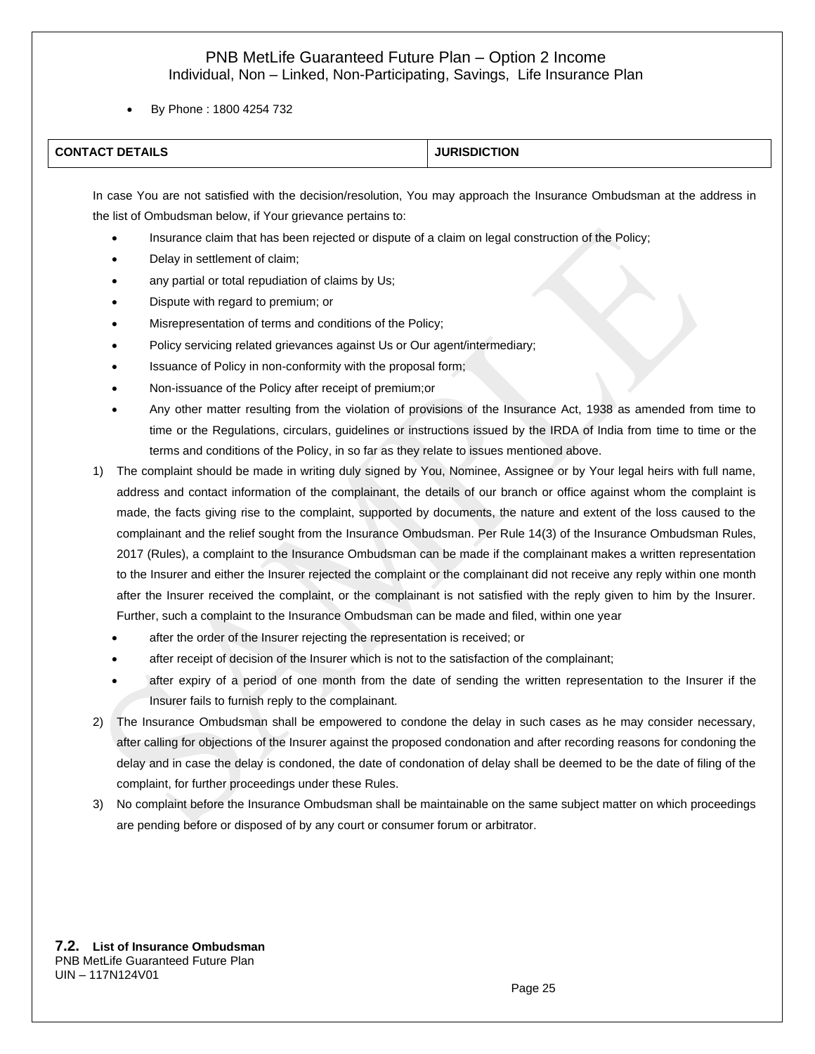• By Phone : 1800 4254 732

| <b>CONTACT DETAILS</b> | <b>JURISDICTION</b> |
|------------------------|---------------------|

In case You are not satisfied with the decision/resolution, You may approach the Insurance Ombudsman at the address in the list of Ombudsman below, if Your grievance pertains to:

- Insurance claim that has been rejected or dispute of a claim on legal construction of the Policy;
- Delay in settlement of claim;
- any partial or total repudiation of claims by Us;
- Dispute with regard to premium; or
- Misrepresentation of terms and conditions of the Policy;
- Policy servicing related grievances against Us or Our agent/intermediary;
- Issuance of Policy in non-conformity with the proposal form;
- Non-issuance of the Policy after receipt of premium;or
- Any other matter resulting from the violation of provisions of the Insurance Act, 1938 as amended from time to time or the Regulations, circulars, guidelines or instructions issued by the IRDA of India from time to time or the terms and conditions of the Policy, in so far as they relate to issues mentioned above.
- 1) The complaint should be made in writing duly signed by You, Nominee, Assignee or by Your legal heirs with full name, address and contact information of the complainant, the details of our branch or office against whom the complaint is made, the facts giving rise to the complaint, supported by documents, the nature and extent of the loss caused to the complainant and the relief sought from the Insurance Ombudsman. Per Rule 14(3) of the Insurance Ombudsman Rules, 2017 (Rules), a complaint to the Insurance Ombudsman can be made if the complainant makes a written representation to the Insurer and either the Insurer rejected the complaint or the complainant did not receive any reply within one month after the Insurer received the complaint, or the complainant is not satisfied with the reply given to him by the Insurer. Further, such a complaint to the Insurance Ombudsman can be made and filed, within one year
	- after the order of the Insurer rejecting the representation is received; or
	- after receipt of decision of the Insurer which is not to the satisfaction of the complainant;
	- after expiry of a period of one month from the date of sending the written representation to the Insurer if the Insurer fails to furnish reply to the complainant.
- 2) The Insurance Ombudsman shall be empowered to condone the delay in such cases as he may consider necessary, after calling for objections of the Insurer against the proposed condonation and after recording reasons for condoning the delay and in case the delay is condoned, the date of condonation of delay shall be deemed to be the date of filing of the complaint, for further proceedings under these Rules.
- 3) No complaint before the Insurance Ombudsman shall be maintainable on the same subject matter on which proceedings are pending before or disposed of by any court or consumer forum or arbitrator.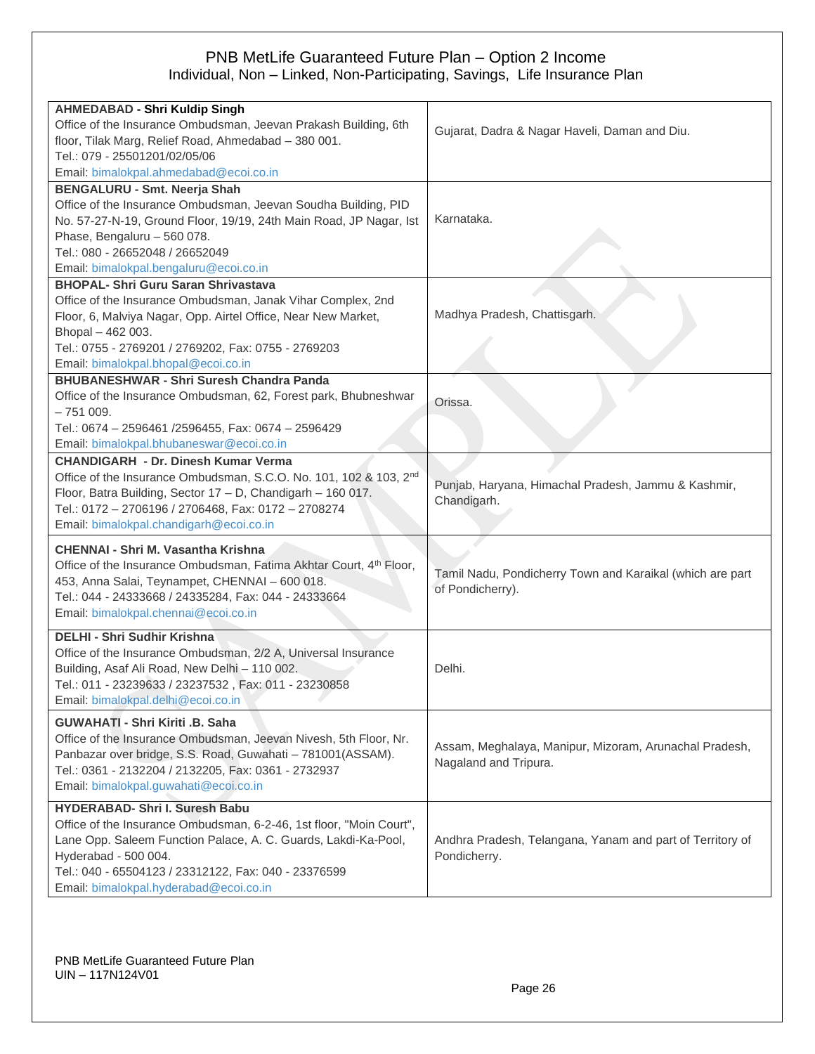| <b>AHMEDABAD - Shri Kuldip Singh</b>                                |                                                           |
|---------------------------------------------------------------------|-----------------------------------------------------------|
| Office of the Insurance Ombudsman, Jeevan Prakash Building, 6th     |                                                           |
| floor, Tilak Marg, Relief Road, Ahmedabad - 380 001.                | Gujarat, Dadra & Nagar Haveli, Daman and Diu.             |
| Tel.: 079 - 25501201/02/05/06                                       |                                                           |
| Email: bimalokpal.ahmedabad@ecoi.co.in                              |                                                           |
| <b>BENGALURU - Smt. Neerja Shah</b>                                 |                                                           |
| Office of the Insurance Ombudsman, Jeevan Soudha Building, PID      |                                                           |
| No. 57-27-N-19, Ground Floor, 19/19, 24th Main Road, JP Nagar, Ist  | Karnataka.                                                |
| Phase, Bengaluru - 560 078.                                         |                                                           |
| Tel.: 080 - 26652048 / 26652049                                     |                                                           |
| Email: bimalokpal.bengaluru@ecoi.co.in                              |                                                           |
| <b>BHOPAL- Shri Guru Saran Shrivastava</b>                          |                                                           |
| Office of the Insurance Ombudsman, Janak Vihar Complex, 2nd         |                                                           |
| Floor, 6, Malviya Nagar, Opp. Airtel Office, Near New Market,       | Madhya Pradesh, Chattisgarh.                              |
| Bhopal - 462 003.                                                   |                                                           |
| Tel.: 0755 - 2769201 / 2769202, Fax: 0755 - 2769203                 |                                                           |
| Email: bimalokpal.bhopal@ecoi.co.in                                 |                                                           |
| <b>BHUBANESHWAR - Shri Suresh Chandra Panda</b>                     |                                                           |
| Office of the Insurance Ombudsman, 62, Forest park, Bhubneshwar     | Orissa.                                                   |
| $-751009.$                                                          |                                                           |
| Tel.: 0674 - 2596461 /2596455, Fax: 0674 - 2596429                  |                                                           |
| Email: bimalokpal.bhubaneswar@ecoi.co.in                            |                                                           |
| <b>CHANDIGARH - Dr. Dinesh Kumar Verma</b>                          |                                                           |
| Office of the Insurance Ombudsman, S.C.O. No. 101, 102 & 103, 2nd   |                                                           |
| Floor, Batra Building, Sector 17 - D, Chandigarh - 160 017.         | Punjab, Haryana, Himachal Pradesh, Jammu & Kashmir,       |
| Tel.: 0172 - 2706196 / 2706468, Fax: 0172 - 2708274                 | Chandigarh.                                               |
| Email: bimalokpal.chandigarh@ecoi.co.in                             |                                                           |
| <b>CHENNAI - Shri M. Vasantha Krishna</b>                           |                                                           |
| Office of the Insurance Ombudsman, Fatima Akhtar Court, 4th Floor,  |                                                           |
| 453, Anna Salai, Teynampet, CHENNAI - 600 018.                      | Tamil Nadu, Pondicherry Town and Karaikal (which are part |
| Tel.: 044 - 24333668 / 24335284, Fax: 044 - 24333664                | of Pondicherry).                                          |
| Email: bimalokpal.chennai@ecoi.co.in                                |                                                           |
|                                                                     |                                                           |
| <b>DELHI - Shri Sudhir Krishna</b>                                  |                                                           |
| Office of the Insurance Ombudsman, 2/2 A, Universal Insurance       |                                                           |
| Building, Asaf Ali Road, New Delhi - 110 002.                       | Delhi.                                                    |
| Tel.: 011 - 23239633 / 23237532, Fax: 011 - 23230858                |                                                           |
| Email: bimalokpal.delhi@ecoi.co.in                                  |                                                           |
| <b>GUWAHATI - Shri Kiriti .B. Saha</b>                              |                                                           |
| Office of the Insurance Ombudsman, Jeevan Nivesh, 5th Floor, Nr.    | Assam, Meghalaya, Manipur, Mizoram, Arunachal Pradesh,    |
| Panbazar over bridge, S.S. Road, Guwahati - 781001(ASSAM).          | Nagaland and Tripura.                                     |
| Tel.: 0361 - 2132204 / 2132205, Fax: 0361 - 2732937                 |                                                           |
| Email: bimalokpal.guwahati@ecoi.co.in                               |                                                           |
| HYDERABAD- Shri I. Suresh Babu                                      |                                                           |
| Office of the Insurance Ombudsman, 6-2-46, 1st floor, "Moin Court", |                                                           |
| Lane Opp. Saleem Function Palace, A. C. Guards, Lakdi-Ka-Pool,      | Andhra Pradesh, Telangana, Yanam and part of Territory of |
| Hyderabad - 500 004.                                                | Pondicherry.                                              |
| Tel.: 040 - 65504123 / 23312122, Fax: 040 - 23376599                |                                                           |
| Email: bimalokpal.hyderabad@ecoi.co.in                              |                                                           |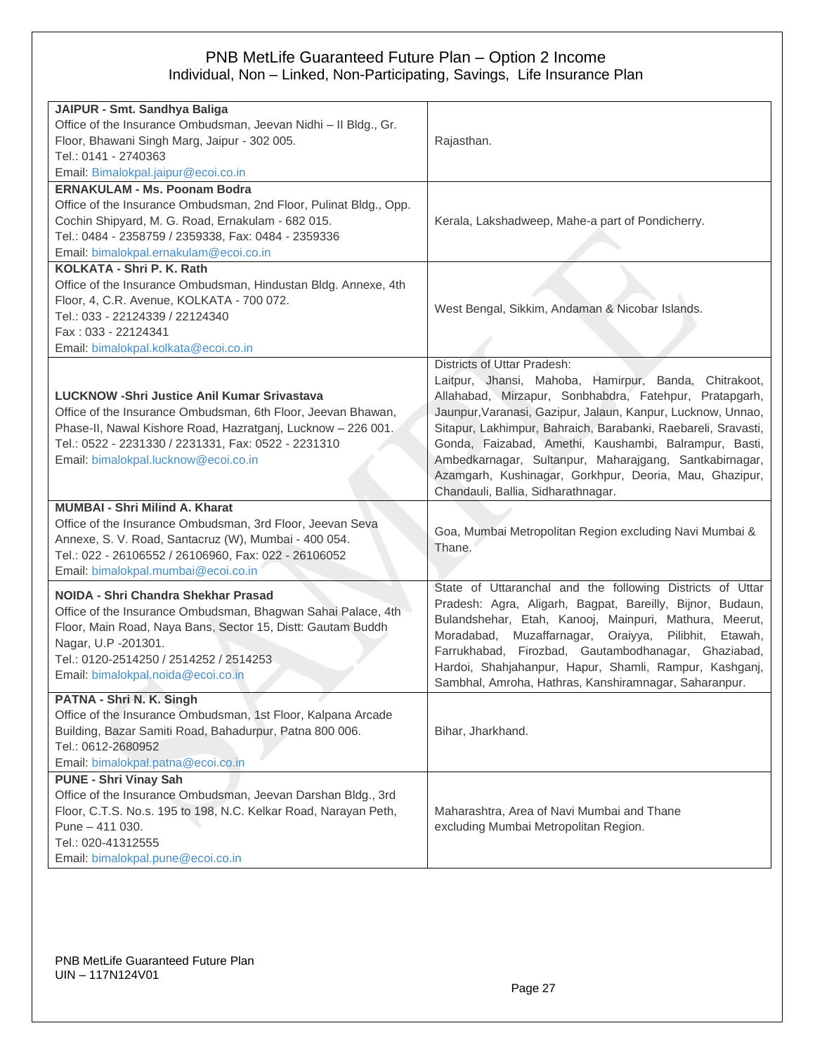| JAIPUR - Smt. Sandhya Baliga                                               |                                                               |
|----------------------------------------------------------------------------|---------------------------------------------------------------|
| Office of the Insurance Ombudsman, Jeevan Nidhi - Il Bldg., Gr.            |                                                               |
| Floor, Bhawani Singh Marg, Jaipur - 302 005.                               |                                                               |
| Tel.: 0141 - 2740363                                                       | Rajasthan.                                                    |
|                                                                            |                                                               |
| Email: Bimalokpal.jaipur@ecoi.co.in<br><b>ERNAKULAM - Ms. Poonam Bodra</b> |                                                               |
|                                                                            |                                                               |
| Office of the Insurance Ombudsman, 2nd Floor, Pulinat Bldg., Opp.          |                                                               |
| Cochin Shipyard, M. G. Road, Ernakulam - 682 015.                          | Kerala, Lakshadweep, Mahe-a part of Pondicherry.              |
| Tel.: 0484 - 2358759 / 2359338, Fax: 0484 - 2359336                        |                                                               |
| Email: bimalokpal.ernakulam@ecoi.co.in                                     |                                                               |
| KOLKATA - Shri P. K. Rath                                                  |                                                               |
| Office of the Insurance Ombudsman, Hindustan Bldg. Annexe, 4th             |                                                               |
| Floor, 4, C.R. Avenue, KOLKATA - 700 072.                                  | West Bengal, Sikkim, Andaman & Nicobar Islands.               |
| Tel.: 033 - 22124339 / 22124340                                            |                                                               |
| Fax: 033 - 22124341                                                        |                                                               |
| Email: bimalokpal.kolkata@ecoi.co.in                                       |                                                               |
|                                                                            | <b>Districts of Uttar Pradesh:</b>                            |
|                                                                            | Laitpur, Jhansi, Mahoba, Hamirpur, Banda, Chitrakoot,         |
| <b>LUCKNOW -Shri Justice Anil Kumar Srivastava</b>                         | Allahabad, Mirzapur, Sonbhabdra, Fatehpur, Pratapgarh,        |
| Office of the Insurance Ombudsman, 6th Floor, Jeevan Bhawan,               | Jaunpur, Varanasi, Gazipur, Jalaun, Kanpur, Lucknow, Unnao,   |
| Phase-II, Nawal Kishore Road, Hazratganj, Lucknow - 226 001.               | Sitapur, Lakhimpur, Bahraich, Barabanki, Raebareli, Sravasti, |
| Tel.: 0522 - 2231330 / 2231331, Fax: 0522 - 2231310                        | Gonda, Faizabad, Amethi, Kaushambi, Balrampur, Basti,         |
| Email: bimalokpal.lucknow@ecoi.co.in                                       | Ambedkarnagar, Sultanpur, Maharajgang, Santkabirnagar,        |
|                                                                            | Azamgarh, Kushinagar, Gorkhpur, Deoria, Mau, Ghazipur,        |
|                                                                            | Chandauli, Ballia, Sidharathnagar.                            |
| <b>MUMBAI - Shri Milind A. Kharat</b>                                      |                                                               |
| Office of the Insurance Ombudsman, 3rd Floor, Jeevan Seva                  | Goa, Mumbai Metropolitan Region excluding Navi Mumbai &       |
| Annexe, S. V. Road, Santacruz (W), Mumbai - 400 054.                       | Thane.                                                        |
| Tel.: 022 - 26106552 / 26106960, Fax: 022 - 26106052                       |                                                               |
| Email: bimalokpal.mumbai@ecoi.co.in                                        |                                                               |
| NOIDA - Shri Chandra Shekhar Prasad                                        | State of Uttaranchal and the following Districts of Uttar     |
| Office of the Insurance Ombudsman, Bhagwan Sahai Palace, 4th               | Pradesh: Agra, Aligarh, Bagpat, Bareilly, Bijnor, Budaun,     |
|                                                                            | Bulandshehar, Etah, Kanooj, Mainpuri, Mathura, Meerut,        |
| Floor, Main Road, Naya Bans, Sector 15, Distt: Gautam Buddh                | Moradabad, Muzaffarnagar, Oraiyya,<br>Pilibhit,<br>Etawah,    |
| Nagar, U.P -201301.                                                        | Farrukhabad, Firozbad, Gautambodhanagar, Ghaziabad,           |
| Tel.: 0120-2514250 / 2514252 / 2514253                                     | Hardoi, Shahjahanpur, Hapur, Shamli, Rampur, Kashganj,        |
| Email: bimalokpal.noida@ecoi.co.in                                         | Sambhal, Amroha, Hathras, Kanshiramnagar, Saharanpur.         |
| PATNA - Shri N. K. Singh                                                   |                                                               |
| Office of the Insurance Ombudsman, 1st Floor, Kalpana Arcade               |                                                               |
| Building, Bazar Samiti Road, Bahadurpur, Patna 800 006.                    | Bihar, Jharkhand.                                             |
| Tel.: 0612-2680952                                                         |                                                               |
| Email: bimalokpal.patna@ecoi.co.in                                         |                                                               |
| <b>PUNE - Shri Vinay Sah</b>                                               |                                                               |
| Office of the Insurance Ombudsman, Jeevan Darshan Bldg., 3rd               |                                                               |
| Floor, C.T.S. No.s. 195 to 198, N.C. Kelkar Road, Narayan Peth,            | Maharashtra, Area of Navi Mumbai and Thane                    |
| Pune - 411 030.                                                            | excluding Mumbai Metropolitan Region.                         |
| Tel.: 020-41312555                                                         |                                                               |
| Email: bimalokpal.pune@ecoi.co.in                                          |                                                               |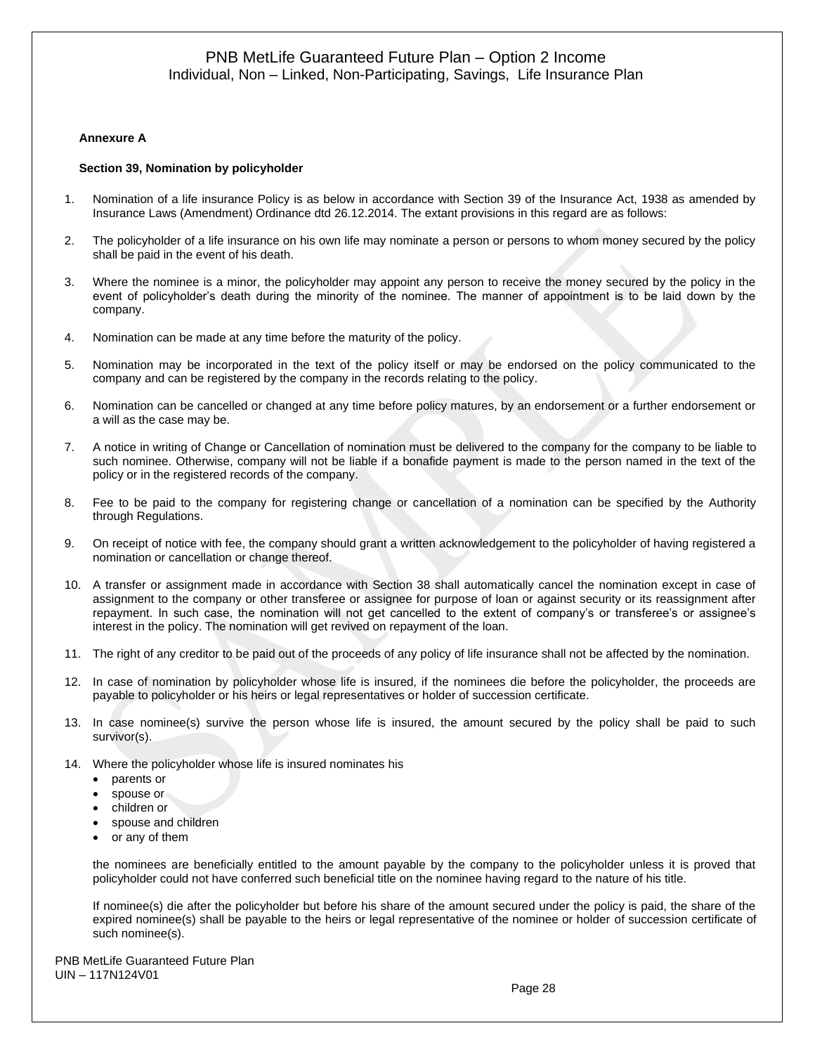#### **Annexure A**

#### **Section 39, Nomination by policyholder**

- 1. Nomination of a life insurance Policy is as below in accordance with Section 39 of the Insurance Act, 1938 as amended by Insurance Laws (Amendment) Ordinance dtd 26.12.2014. The extant provisions in this regard are as follows:
- 2. The policyholder of a life insurance on his own life may nominate a person or persons to whom money secured by the policy shall be paid in the event of his death.
- 3. Where the nominee is a minor, the policyholder may appoint any person to receive the money secured by the policy in the event of policyholder's death during the minority of the nominee. The manner of appointment is to be laid down by the company.
- 4. Nomination can be made at any time before the maturity of the policy.
- 5. Nomination may be incorporated in the text of the policy itself or may be endorsed on the policy communicated to the company and can be registered by the company in the records relating to the policy.
- 6. Nomination can be cancelled or changed at any time before policy matures, by an endorsement or a further endorsement or a will as the case may be.
- 7. A notice in writing of Change or Cancellation of nomination must be delivered to the company for the company to be liable to such nominee. Otherwise, company will not be liable if a bonafide payment is made to the person named in the text of the policy or in the registered records of the company.
- 8. Fee to be paid to the company for registering change or cancellation of a nomination can be specified by the Authority through Regulations.
- 9. On receipt of notice with fee, the company should grant a written acknowledgement to the policyholder of having registered a nomination or cancellation or change thereof.
- 10. A transfer or assignment made in accordance with Section 38 shall automatically cancel the nomination except in case of assignment to the company or other transferee or assignee for purpose of loan or against security or its reassignment after repayment. In such case, the nomination will not get cancelled to the extent of company's or transferee's or assignee's interest in the policy. The nomination will get revived on repayment of the loan.
- 11. The right of any creditor to be paid out of the proceeds of any policy of life insurance shall not be affected by the nomination.
- 12. In case of nomination by policyholder whose life is insured, if the nominees die before the policyholder, the proceeds are payable to policyholder or his heirs or legal representatives or holder of succession certificate.
- 13. In case nominee(s) survive the person whose life is insured, the amount secured by the policy shall be paid to such survivor(s).
- 14. Where the policyholder whose life is insured nominates his
	- parents or
	- spouse or
	- children or
	- spouse and children
	- or any of them

the nominees are beneficially entitled to the amount payable by the company to the policyholder unless it is proved that policyholder could not have conferred such beneficial title on the nominee having regard to the nature of his title.

If nominee(s) die after the policyholder but before his share of the amount secured under the policy is paid, the share of the expired nominee(s) shall be payable to the heirs or legal representative of the nominee or holder of succession certificate of such nominee(s).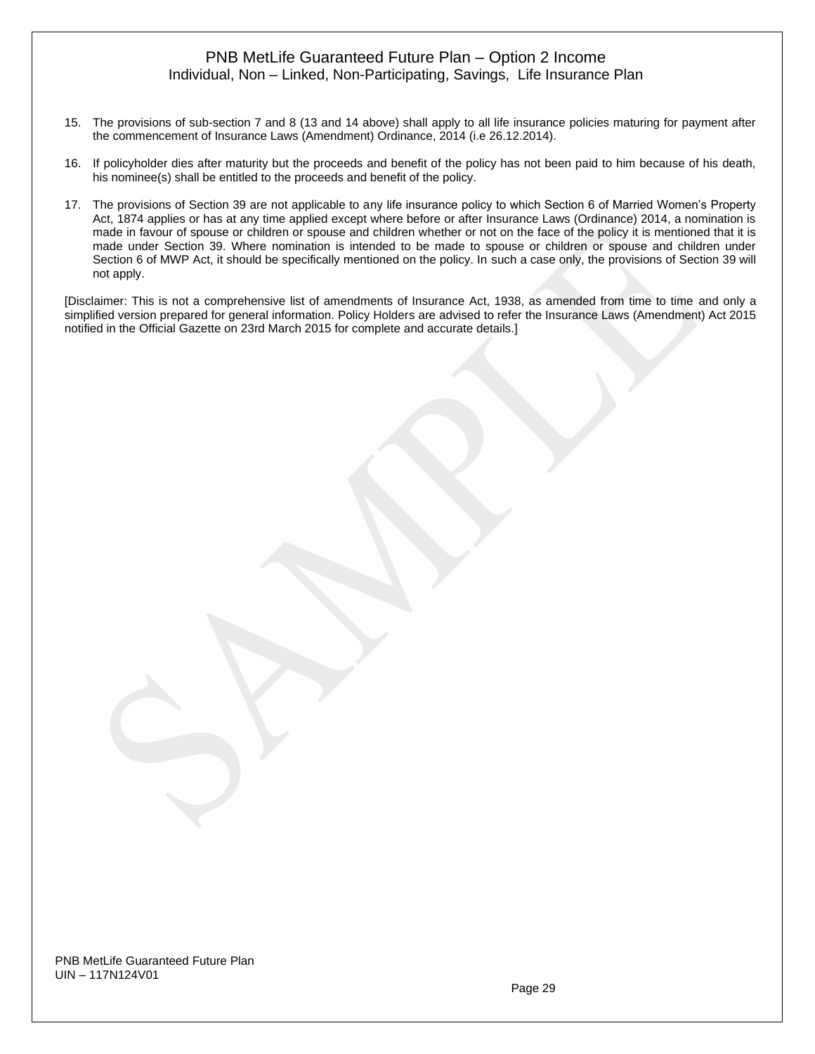- 15. The provisions of sub-section 7 and 8 (13 and 14 above) shall apply to all life insurance policies maturing for payment after the commencement of Insurance Laws (Amendment) Ordinance, 2014 (i.e 26.12.2014).
- 16. If policyholder dies after maturity but the proceeds and benefit of the policy has not been paid to him because of his death, his nominee(s) shall be entitled to the proceeds and benefit of the policy.
- 17. The provisions of Section 39 are not applicable to any life insurance policy to which Section 6 of Married Women's Property Act, 1874 applies or has at any time applied except where before or after Insurance Laws (Ordinance) 2014, a nomination is made in favour of spouse or children or spouse and children whether or not on the face of the policy it is mentioned that it is made under Section 39. Where nomination is intended to be made to spouse or children or spouse and children under Section 6 of MWP Act, it should be specifically mentioned on the policy. In such a case only, the provisions of Section 39 will not apply.

[Disclaimer: This is not a comprehensive list of amendments of Insurance Act, 1938, as amended from time to time and only a simplified version prepared for general information. Policy Holders are advised to refer the Insurance Laws (Amendment) Act 2015 notified in the Official Gazette on 23rd March 2015 for complete and accurate details.]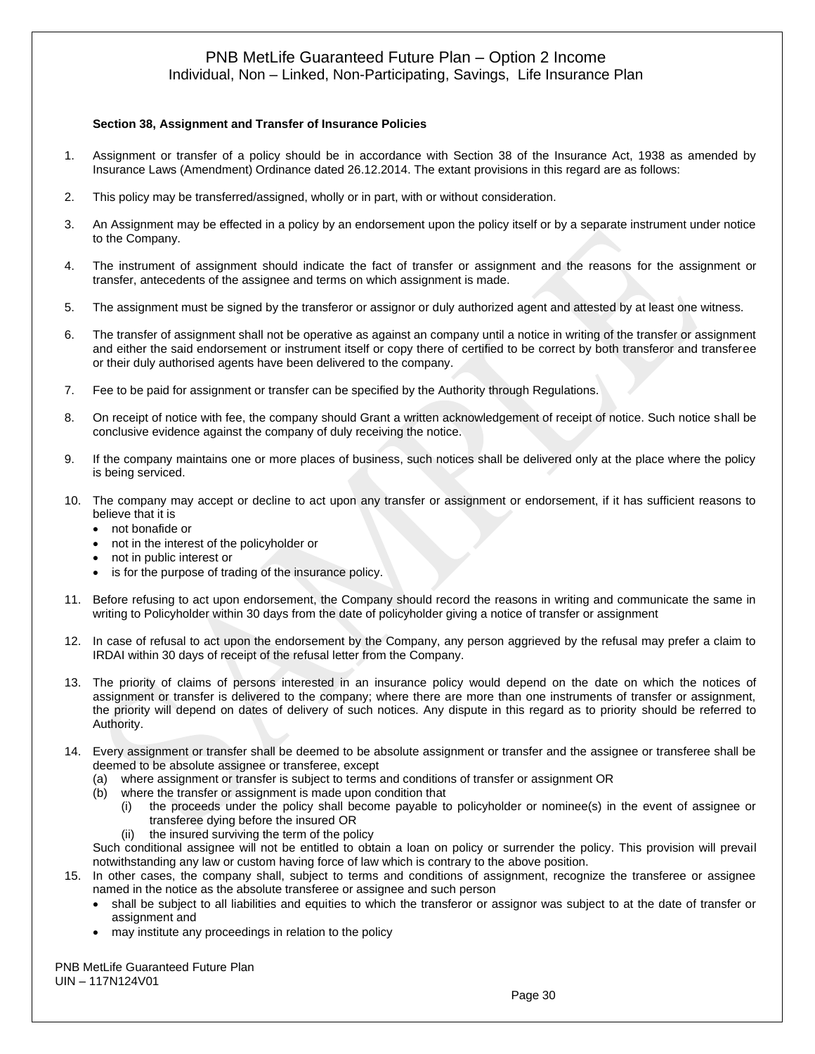# Individual, Non – Linked, Non-Participating, Savings, Life Insurance Plan

#### **Section 38, Assignment and Transfer of Insurance Policies**

- 1. Assignment or transfer of a policy should be in accordance with Section 38 of the Insurance Act, 1938 as amended by Insurance Laws (Amendment) Ordinance dated 26.12.2014. The extant provisions in this regard are as follows:
- 2. This policy may be transferred/assigned, wholly or in part, with or without consideration.
- 3. An Assignment may be effected in a policy by an endorsement upon the policy itself or by a separate instrument under notice to the Company.
- 4. The instrument of assignment should indicate the fact of transfer or assignment and the reasons for the assignment or transfer, antecedents of the assignee and terms on which assignment is made.
- 5. The assignment must be signed by the transferor or assignor or duly authorized agent and attested by at least one witness.
- 6. The transfer of assignment shall not be operative as against an company until a notice in writing of the transfer or assignment and either the said endorsement or instrument itself or copy there of certified to be correct by both transferor and transferee or their duly authorised agents have been delivered to the company.
- 7. Fee to be paid for assignment or transfer can be specified by the Authority through Regulations.
- 8. On receipt of notice with fee, the company should Grant a written acknowledgement of receipt of notice. Such notice shall be conclusive evidence against the company of duly receiving the notice.
- 9. If the company maintains one or more places of business, such notices shall be delivered only at the place where the policy is being serviced.
- 10. The company may accept or decline to act upon any transfer or assignment or endorsement, if it has sufficient reasons to believe that it is
	- not bonafide or
	- not in the interest of the policyholder or
	- not in public interest or
	- is for the purpose of trading of the insurance policy.
- 11. Before refusing to act upon endorsement, the Company should record the reasons in writing and communicate the same in writing to Policyholder within 30 days from the date of policyholder giving a notice of transfer or assignment
- 12. In case of refusal to act upon the endorsement by the Company, any person aggrieved by the refusal may prefer a claim to IRDAI within 30 days of receipt of the refusal letter from the Company.
- 13. The priority of claims of persons interested in an insurance policy would depend on the date on which the notices of assignment or transfer is delivered to the company; where there are more than one instruments of transfer or assignment, the priority will depend on dates of delivery of such notices. Any dispute in this regard as to priority should be referred to Authority.
- 14. Every assignment or transfer shall be deemed to be absolute assignment or transfer and the assignee or transferee shall be deemed to be absolute assignee or transferee, except
	- (a) where assignment or transfer is subject to terms and conditions of transfer or assignment OR
	- (b) where the transfer or assignment is made upon condition that
		- (i) the proceeds under the policy shall become payable to policyholder or nominee(s) in the event of assignee or transferee dying before the insured OR
		- (ii) the insured surviving the term of the policy

Such conditional assignee will not be entitled to obtain a loan on policy or surrender the policy. This provision will prevail notwithstanding any law or custom having force of law which is contrary to the above position.

- 15. In other cases, the company shall, subject to terms and conditions of assignment, recognize the transferee or assignee named in the notice as the absolute transferee or assignee and such person
	- shall be subject to all liabilities and equities to which the transferor or assignor was subject to at the date of transfer or assignment and
	- may institute any proceedings in relation to the policy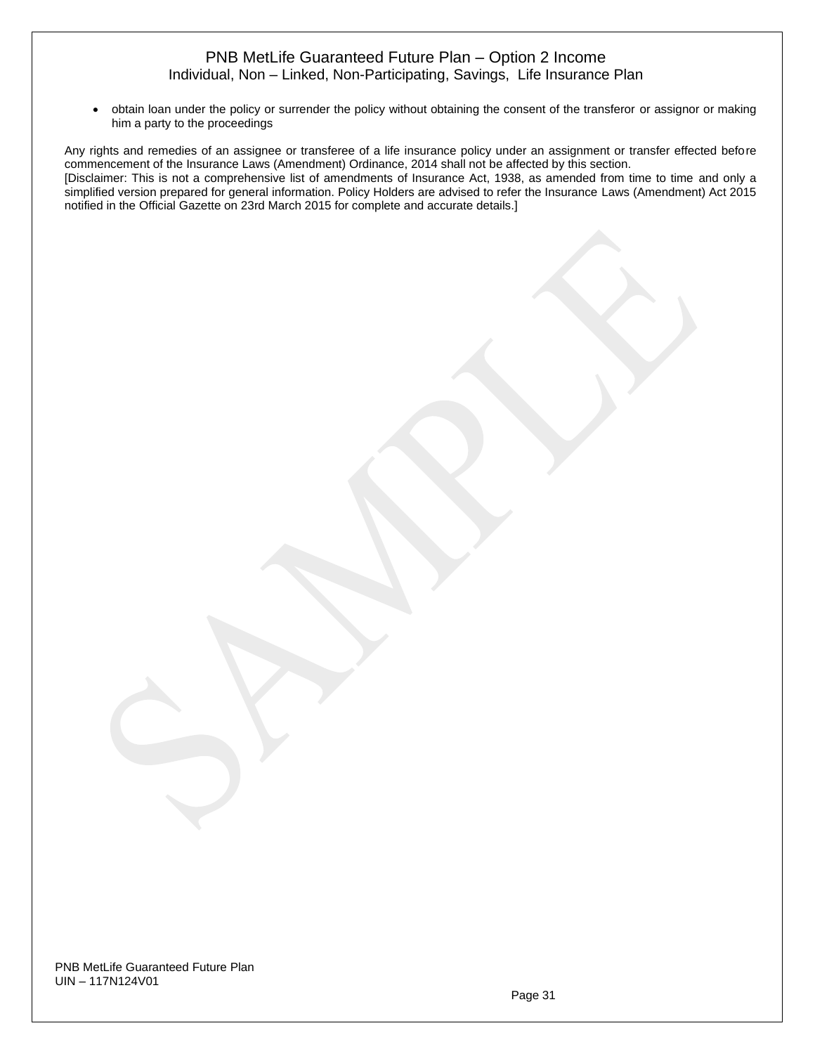• obtain loan under the policy or surrender the policy without obtaining the consent of the transferor or assignor or making him a party to the proceedings

Any rights and remedies of an assignee or transferee of a life insurance policy under an assignment or transfer effected before commencement of the Insurance Laws (Amendment) Ordinance, 2014 shall not be affected by this section. [Disclaimer: This is not a comprehensive list of amendments of Insurance Act, 1938, as amended from time to time and only a simplified version prepared for general information. Policy Holders are advised to refer the Insurance Laws (Amendment) Act 2015 notified in the Official Gazette on 23rd March 2015 for complete and accurate details.]